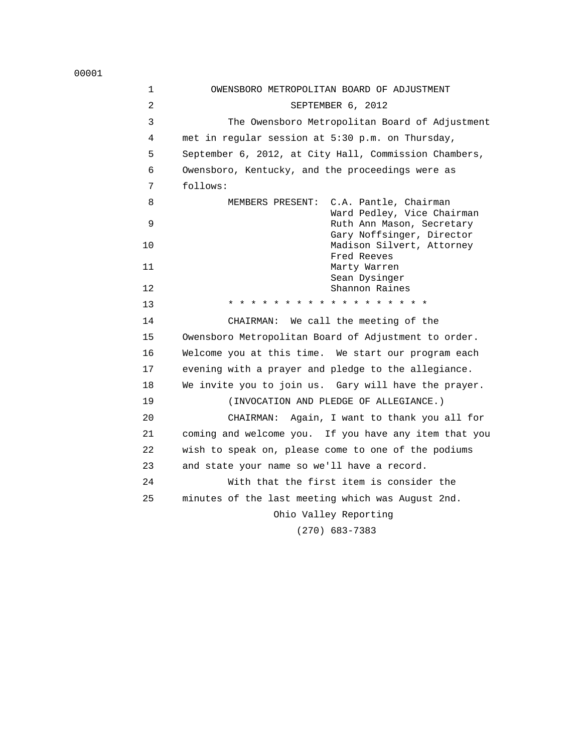1 OWENSBORO METROPOLITAN BOARD OF ADJUSTMENT 2 SEPTEMBER 6, 2012 3 The Owensboro Metropolitan Board of Adjustment 4 met in regular session at 5:30 p.m. on Thursday, 5 September 6, 2012, at City Hall, Commission Chambers, 6 Owensboro, Kentucky, and the proceedings were as 7 follows: 8 MEMBERS PRESENT: C.A. Pantle, Chairman Ward Pedley, Vice Chairman<br>Ruth Ann Mason, Secretary Ruth Ann Mason, Secretary Gary Noffsinger, Director 10 Madison Silvert, Attorney Fred Reeves 11 Marty Warren Sean Dysinger 12 Shannon Raines 13 \* \* \* \* \* \* \* \* \* \* \* \* \* \* \* \* \* \* 14 CHAIRMAN: We call the meeting of the 15 Owensboro Metropolitan Board of Adjustment to order. 16 Welcome you at this time. We start our program each 17 evening with a prayer and pledge to the allegiance. 18 We invite you to join us. Gary will have the prayer. 19 (INVOCATION AND PLEDGE OF ALLEGIANCE.) 20 CHAIRMAN: Again, I want to thank you all for 21 coming and welcome you. If you have any item that you 22 wish to speak on, please come to one of the podiums 23 and state your name so we'll have a record. 24 With that the first item is consider the 25 minutes of the last meeting which was August 2nd. Ohio Valley Reporting (270) 683-7383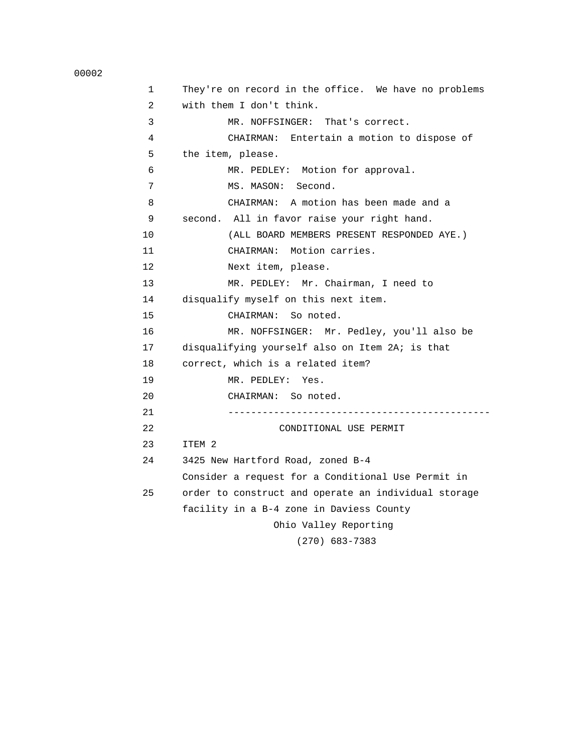| 1              | They're on record in the office. We have no problems |
|----------------|------------------------------------------------------|
| $\overline{2}$ | with them I don't think.                             |
| 3              | MR. NOFFSINGER: That's correct.                      |
| 4              | CHAIRMAN: Entertain a motion to dispose of           |
| 5              | the item, please.                                    |
| 6              | MR. PEDLEY: Motion for approval.                     |
| 7              | MS. MASON: Second.                                   |
| 8              | CHAIRMAN: A motion has been made and a               |
| 9              | second. All in favor raise your right hand.          |
| 10             | (ALL BOARD MEMBERS PRESENT RESPONDED AYE.)           |
| 11             | CHAIRMAN: Motion carries.                            |
| 12             | Next item, please.                                   |
| 13             | MR. PEDLEY: Mr. Chairman, I need to                  |
| 14             | disqualify myself on this next item.                 |
| 15             | CHAIRMAN: So noted.                                  |
| 16             | MR. NOFFSINGER: Mr. Pedley, you'll also be           |
| 17             | disqualifying yourself also on Item 2A; is that      |
| 18             | correct, which is a related item?                    |
| 19             | MR. PEDLEY: Yes.                                     |
| 20             | CHAIRMAN: So noted.                                  |
| 21             |                                                      |
| 22             | CONDITIONAL USE PERMIT                               |
| 23             | ITEM 2                                               |
| 24             | 3425 New Hartford Road, zoned B-4                    |
|                | Consider a request for a Conditional Use Permit in   |
| 25             | order to construct and operate an individual storage |
|                | facility in a B-4 zone in Daviess County             |
|                | Ohio Valley Reporting                                |
|                | $(270)$ 683-7383                                     |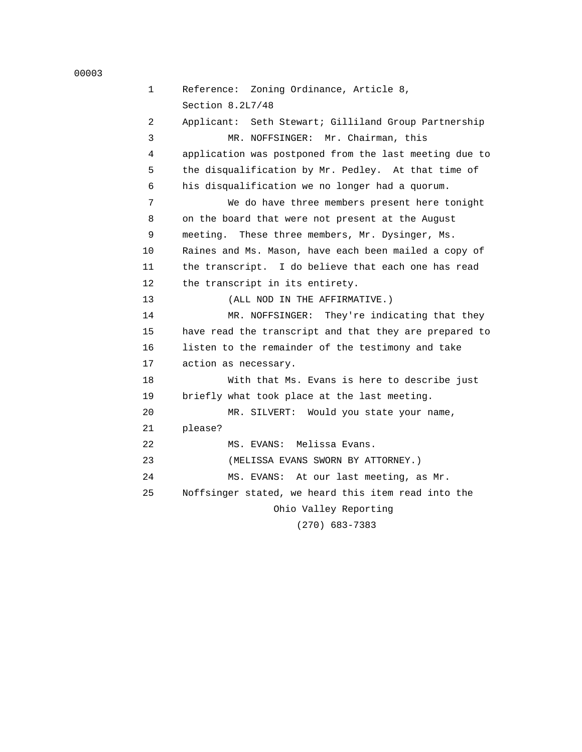```
 00003
```

```
 1 Reference: Zoning Ordinance, Article 8, 
      Section 8.2L7/48 
 2 Applicant: Seth Stewart; Gilliland Group Partnership 
 3 MR. NOFFSINGER: Mr. Chairman, this 
 4 application was postponed from the last meeting due to 
 5 the disqualification by Mr. Pedley. At that time of 
 6 his disqualification we no longer had a quorum. 
 7 We do have three members present here tonight 
 8 on the board that were not present at the August 
 9 meeting. These three members, Mr. Dysinger, Ms. 
10 Raines and Ms. Mason, have each been mailed a copy of 
11 the transcript. I do believe that each one has read 
12 the transcript in its entirety. 
13 (ALL NOD IN THE AFFIRMATIVE.) 
14 MR. NOFFSINGER: They're indicating that they 
15 have read the transcript and that they are prepared to 
16 listen to the remainder of the testimony and take 
17 action as necessary. 
18 With that Ms. Evans is here to describe just 
19 briefly what took place at the last meeting. 
20 MR. SILVERT: Would you state your name, 
21 please? 
22 MS. EVANS: Melissa Evans. 
23 (MELISSA EVANS SWORN BY ATTORNEY.) 
24 MS. EVANS: At our last meeting, as Mr. 
25 Noffsinger stated, we heard this item read into the 
                     Ohio Valley Reporting
```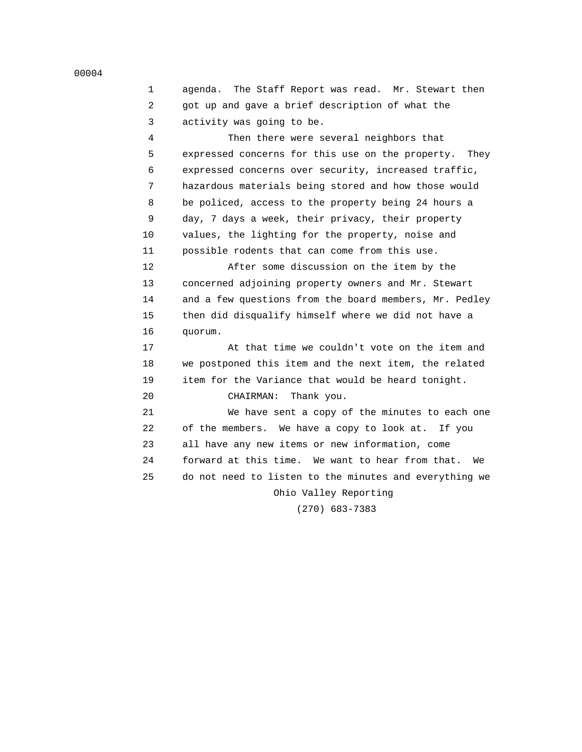| 1  | agenda. The Staff Report was read. Mr. Stewart then    |
|----|--------------------------------------------------------|
| 2  | got up and gave a brief description of what the        |
| 3  | activity was going to be.                              |
| 4  | Then there were several neighbors that                 |
| 5  | expressed concerns for this use on the property. They  |
| 6  | expressed concerns over security, increased traffic,   |
| 7  | hazardous materials being stored and how those would   |
| 8  | be policed, access to the property being 24 hours a    |
| 9  | day, 7 days a week, their privacy, their property      |
| 10 | values, the lighting for the property, noise and       |
| 11 | possible rodents that can come from this use.          |
| 12 | After some discussion on the item by the               |
| 13 | concerned adjoining property owners and Mr. Stewart    |
| 14 | and a few questions from the board members, Mr. Pedley |
| 15 | then did disqualify himself where we did not have a    |
| 16 | quorum.                                                |
| 17 | At that time we couldn't vote on the item and          |
| 18 | we postponed this item and the next item, the related  |
| 19 | item for the Variance that would be heard tonight.     |
| 20 | CHAIRMAN:<br>Thank you.                                |
| 21 | We have sent a copy of the minutes to each one         |
| 22 | of the members. We have a copy to look at.<br>If you   |

23 all have any new items or new information, come

 24 forward at this time. We want to hear from that. We 25 do not need to listen to the minutes and everything we

> Ohio Valley Reporting (270) 683-7383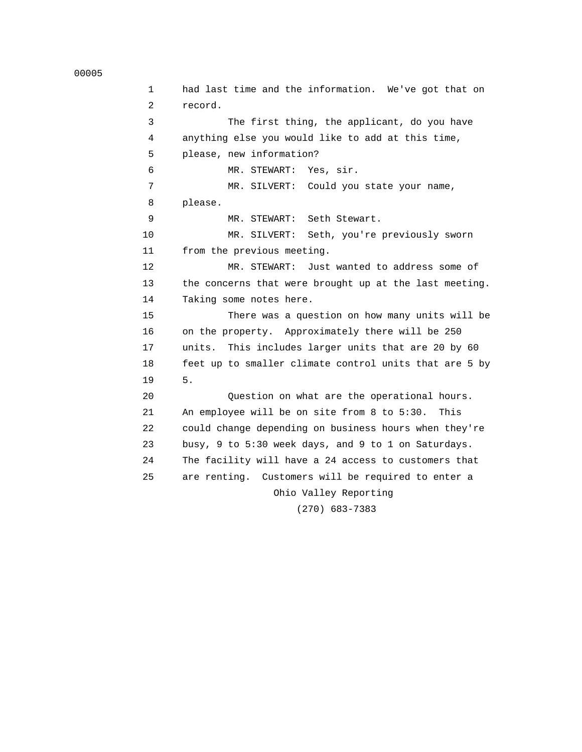```
 00005
```
 1 had last time and the information. We've got that on 2 record. 3 The first thing, the applicant, do you have 4 anything else you would like to add at this time, 5 please, new information? 6 MR. STEWART: Yes, sir. 7 MR. SILVERT: Could you state your name, 8 please. 9 MR. STEWART: Seth Stewart. 10 MR. SILVERT: Seth, you're previously sworn 11 from the previous meeting. 12 MR. STEWART: Just wanted to address some of 13 the concerns that were brought up at the last meeting. 14 Taking some notes here. 15 There was a question on how many units will be 16 on the property. Approximately there will be 250 17 units. This includes larger units that are 20 by 60 18 feet up to smaller climate control units that are 5 by 19 5. 20 Question on what are the operational hours. 21 An employee will be on site from 8 to 5:30. This 22 could change depending on business hours when they're 23 busy, 9 to 5:30 week days, and 9 to 1 on Saturdays. 24 The facility will have a 24 access to customers that 25 are renting. Customers will be required to enter a Ohio Valley Reporting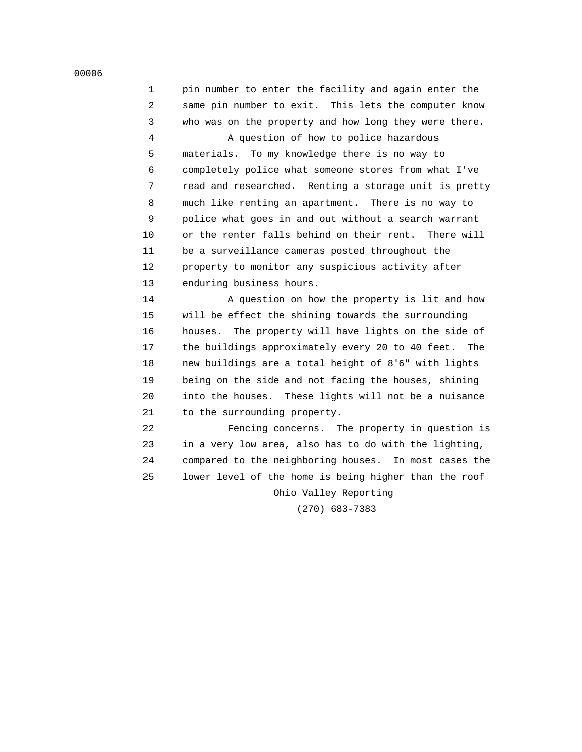| pin number to enter the facility and again enter the  |
|-------------------------------------------------------|
| same pin number to exit. This lets the computer know  |
| who was on the property and how long they were there. |

4 A question of how to police hazardous

 5 materials. To my knowledge there is no way to 6 completely police what someone stores from what I've 7 read and researched. Renting a storage unit is pretty 8 much like renting an apartment. There is no way to 9 police what goes in and out without a search warrant 10 or the renter falls behind on their rent. There will 11 be a surveillance cameras posted throughout the 12 property to monitor any suspicious activity after 13 enduring business hours.

 14 A question on how the property is lit and how 15 will be effect the shining towards the surrounding 16 houses. The property will have lights on the side of 17 the buildings approximately every 20 to 40 feet. The 18 new buildings are a total height of 8'6" with lights 19 being on the side and not facing the houses, shining 20 into the houses. These lights will not be a nuisance 21 to the surrounding property.

 22 Fencing concerns. The property in question is 23 in a very low area, also has to do with the lighting, 24 compared to the neighboring houses. In most cases the 25 lower level of the home is being higher than the roof

Ohio Valley Reporting

(270) 683-7383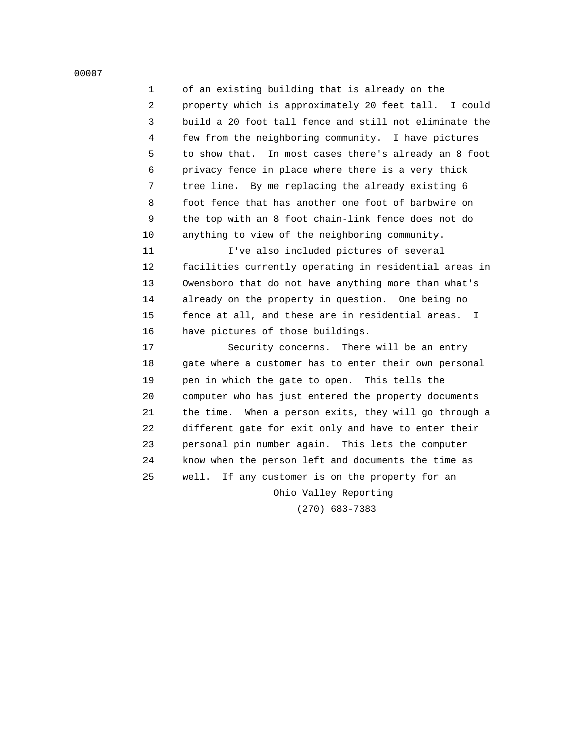1 of an existing building that is already on the 2 property which is approximately 20 feet tall. I could 3 build a 20 foot tall fence and still not eliminate the 4 few from the neighboring community. I have pictures 5 to show that. In most cases there's already an 8 foot 6 privacy fence in place where there is a very thick 7 tree line. By me replacing the already existing 6 8 foot fence that has another one foot of barbwire on 9 the top with an 8 foot chain-link fence does not do

10 anything to view of the neighboring community.

 11 I've also included pictures of several 12 facilities currently operating in residential areas in 13 Owensboro that do not have anything more than what's 14 already on the property in question. One being no 15 fence at all, and these are in residential areas. I 16 have pictures of those buildings.

 17 Security concerns. There will be an entry 18 gate where a customer has to enter their own personal 19 pen in which the gate to open. This tells the 20 computer who has just entered the property documents 21 the time. When a person exits, they will go through a 22 different gate for exit only and have to enter their 23 personal pin number again. This lets the computer 24 know when the person left and documents the time as 25 well. If any customer is on the property for an Ohio Valley Reporting

(270) 683-7383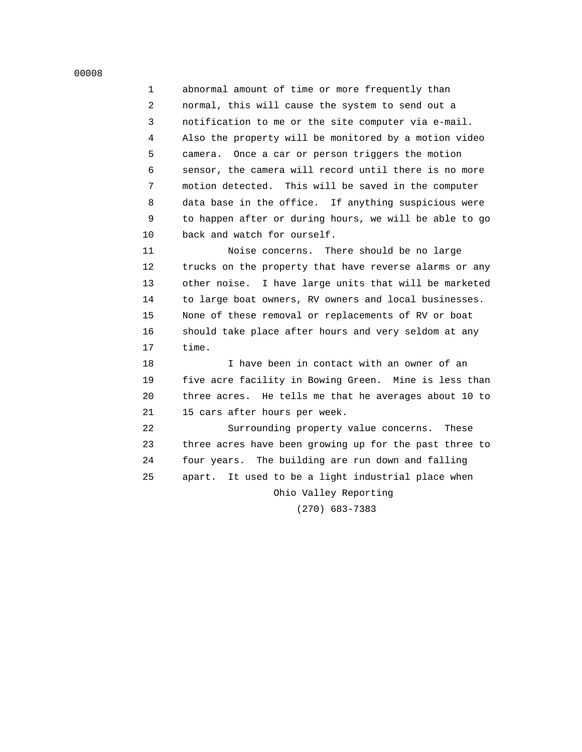1 abnormal amount of time or more frequently than 2 normal, this will cause the system to send out a 3 notification to me or the site computer via e-mail. 4 Also the property will be monitored by a motion video 5 camera. Once a car or person triggers the motion 6 sensor, the camera will record until there is no more 7 motion detected. This will be saved in the computer 8 data base in the office. If anything suspicious were 9 to happen after or during hours, we will be able to go 10 back and watch for ourself.

 11 Noise concerns. There should be no large 12 trucks on the property that have reverse alarms or any 13 other noise. I have large units that will be marketed 14 to large boat owners, RV owners and local businesses. 15 None of these removal or replacements of RV or boat 16 should take place after hours and very seldom at any 17 time.

 18 I have been in contact with an owner of an 19 five acre facility in Bowing Green. Mine is less than 20 three acres. He tells me that he averages about 10 to 21 15 cars after hours per week.

 22 Surrounding property value concerns. These 23 three acres have been growing up for the past three to 24 four years. The building are run down and falling 25 apart. It used to be a light industrial place when Ohio Valley Reporting

(270) 683-7383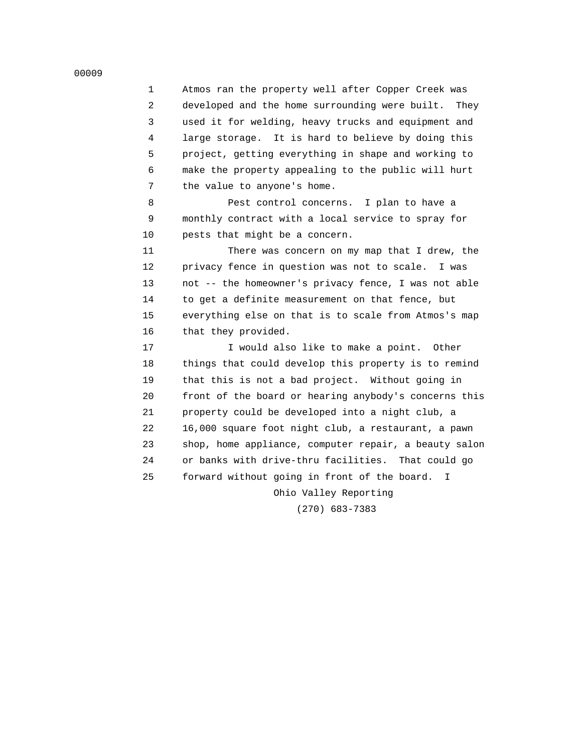1 Atmos ran the property well after Copper Creek was 2 developed and the home surrounding were built. They 3 used it for welding, heavy trucks and equipment and 4 large storage. It is hard to believe by doing this 5 project, getting everything in shape and working to 6 make the property appealing to the public will hurt 7 the value to anyone's home.

 8 Pest control concerns. I plan to have a 9 monthly contract with a local service to spray for 10 pests that might be a concern.

 11 There was concern on my map that I drew, the 12 privacy fence in question was not to scale. I was 13 not -- the homeowner's privacy fence, I was not able 14 to get a definite measurement on that fence, but 15 everything else on that is to scale from Atmos's map 16 that they provided.

17 17 I would also like to make a point. Other 18 things that could develop this property is to remind 19 that this is not a bad project. Without going in 20 front of the board or hearing anybody's concerns this 21 property could be developed into a night club, a 22 16,000 square foot night club, a restaurant, a pawn 23 shop, home appliance, computer repair, a beauty salon 24 or banks with drive-thru facilities. That could go 25 forward without going in front of the board. I Ohio Valley Reporting

(270) 683-7383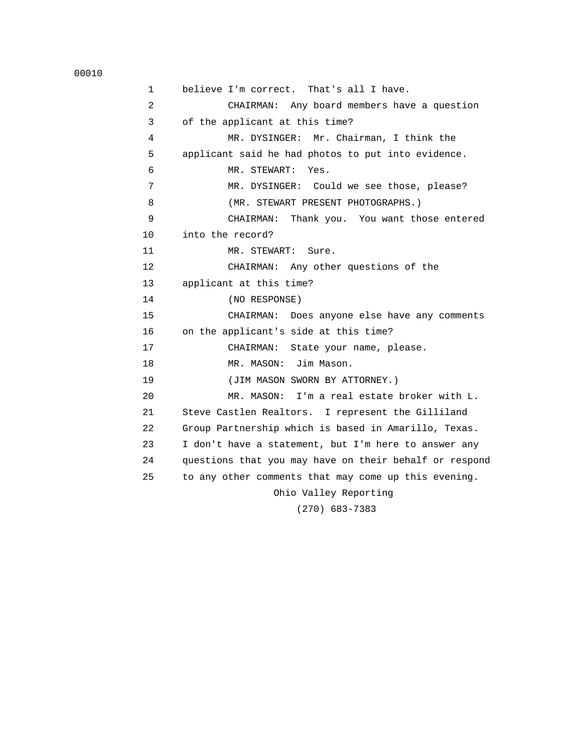```
 00010
```

| $\mathbf{1}$   | believe I'm correct. That's all I have.                |
|----------------|--------------------------------------------------------|
| 2              | CHAIRMAN: Any board members have a question            |
| 3              | of the applicant at this time?                         |
| $\overline{4}$ | MR. DYSINGER: Mr. Chairman, I think the                |
| 5              | applicant said he had photos to put into evidence.     |
| 6              | MR. STEWART:<br>Yes.                                   |
| 7              | MR. DYSINGER: Could we see those, please?              |
| 8              | (MR. STEWART PRESENT PHOTOGRAPHS.)                     |
| 9              | Thank you. You want those entered<br>CHAIRMAN:         |
| 10             | into the record?                                       |
| 11             | MR. STEWART:<br>Sure.                                  |
| 12             | CHAIRMAN: Any other questions of the                   |
| 13             | applicant at this time?                                |
| 14             | (NO RESPONSE)                                          |
| 15             | CHAIRMAN: Does anyone else have any comments           |
| 16             | on the applicant's side at this time?                  |
| 17             | CHAIRMAN: State your name, please.                     |
| 18             | MR. MASON: Jim Mason.                                  |
| 19             | (JIM MASON SWORN BY ATTORNEY.)                         |
| 20             | MR. MASON: I'm a real estate broker with L.            |
| 21             | Steve Castlen Realtors. I represent the Gilliland      |
| 22             | Group Partnership which is based in Amarillo, Texas.   |
| 23             | I don't have a statement, but I'm here to answer any   |
| 24             | questions that you may have on their behalf or respond |
| 25             | to any other comments that may come up this evening.   |
|                | Ohio Valley Reporting                                  |
|                | $(270)$ 600 7000                                       |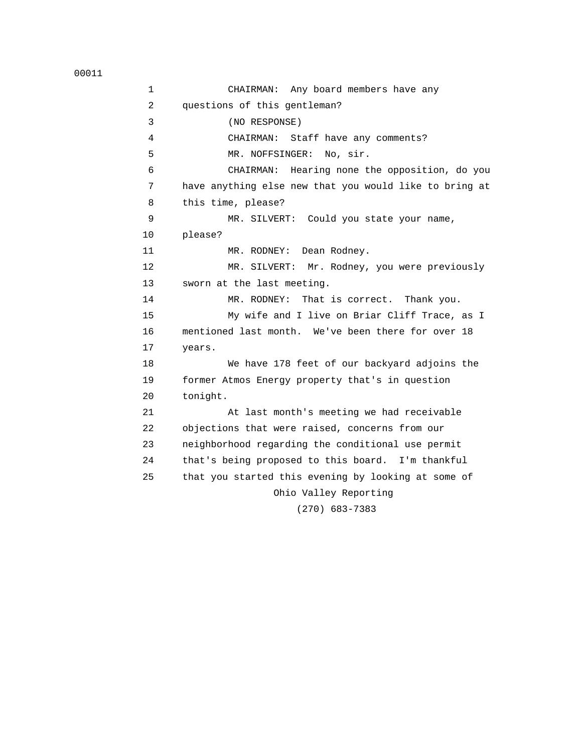1 CHAIRMAN: Any board members have any 2 questions of this gentleman? 3 (NO RESPONSE) 4 CHAIRMAN: Staff have any comments? 5 MR. NOFFSINGER: No, sir. 6 CHAIRMAN: Hearing none the opposition, do you 7 have anything else new that you would like to bring at 8 this time, please? 9 MR. SILVERT: Could you state your name, 10 please? 11 MR. RODNEY: Dean Rodney. 12 MR. SILVERT: Mr. Rodney, you were previously 13 sworn at the last meeting. 14 MR. RODNEY: That is correct. Thank you. 15 My wife and I live on Briar Cliff Trace, as I 16 mentioned last month. We've been there for over 18 17 years. 18 We have 178 feet of our backyard adjoins the 19 former Atmos Energy property that's in question 20 tonight. 21 At last month's meeting we had receivable 22 objections that were raised, concerns from our 23 neighborhood regarding the conditional use permit 24 that's being proposed to this board. I'm thankful 25 that you started this evening by looking at some of Ohio Valley Reporting (270) 683-7383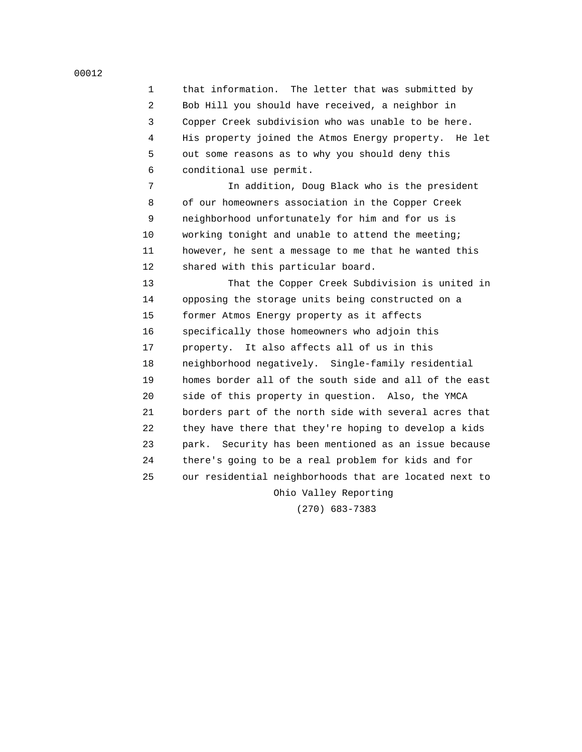1 that information. The letter that was submitted by 2 Bob Hill you should have received, a neighbor in 3 Copper Creek subdivision who was unable to be here. 4 His property joined the Atmos Energy property. He let 5 out some reasons as to why you should deny this 6 conditional use permit.

 7 In addition, Doug Black who is the president 8 of our homeowners association in the Copper Creek 9 neighborhood unfortunately for him and for us is 10 working tonight and unable to attend the meeting; 11 however, he sent a message to me that he wanted this 12 shared with this particular board.

 13 That the Copper Creek Subdivision is united in 14 opposing the storage units being constructed on a 15 former Atmos Energy property as it affects 16 specifically those homeowners who adjoin this 17 property. It also affects all of us in this 18 neighborhood negatively. Single-family residential 19 homes border all of the south side and all of the east 20 side of this property in question. Also, the YMCA 21 borders part of the north side with several acres that 22 they have there that they're hoping to develop a kids 23 park. Security has been mentioned as an issue because 24 there's going to be a real problem for kids and for 25 our residential neighborhoods that are located next to Ohio Valley Reporting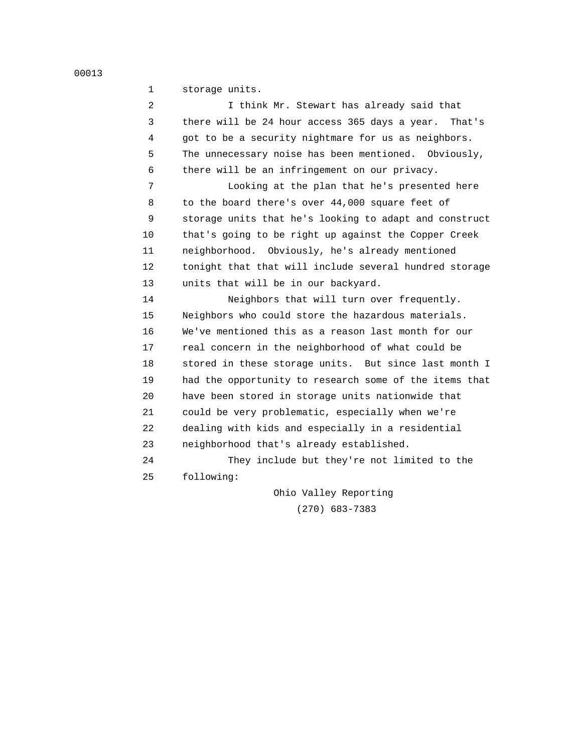1 storage units.

 2 I think Mr. Stewart has already said that 3 there will be 24 hour access 365 days a year. That's 4 got to be a security nightmare for us as neighbors. 5 The unnecessary noise has been mentioned. Obviously, 6 there will be an infringement on our privacy.

 7 Looking at the plan that he's presented here 8 to the board there's over 44,000 square feet of 9 storage units that he's looking to adapt and construct 10 that's going to be right up against the Copper Creek 11 neighborhood. Obviously, he's already mentioned 12 tonight that that will include several hundred storage 13 units that will be in our backyard.

 14 Neighbors that will turn over frequently. 15 Neighbors who could store the hazardous materials. 16 We've mentioned this as a reason last month for our 17 real concern in the neighborhood of what could be 18 stored in these storage units. But since last month I 19 had the opportunity to research some of the items that 20 have been stored in storage units nationwide that 21 could be very problematic, especially when we're 22 dealing with kids and especially in a residential 23 neighborhood that's already established.

 24 They include but they're not limited to the 25 following:

> Ohio Valley Reporting (270) 683-7383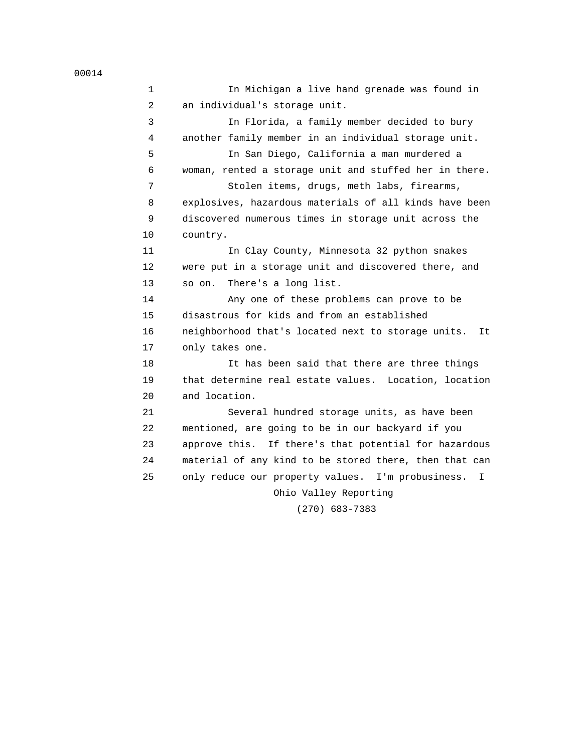1 In Michigan a live hand grenade was found in 2 an individual's storage unit. 3 In Florida, a family member decided to bury 4 another family member in an individual storage unit. 5 In San Diego, California a man murdered a 6 woman, rented a storage unit and stuffed her in there. 7 Stolen items, drugs, meth labs, firearms, 8 explosives, hazardous materials of all kinds have been 9 discovered numerous times in storage unit across the 10 country. 11 In Clay County, Minnesota 32 python snakes 12 were put in a storage unit and discovered there, and 13 so on. There's a long list. 14 Any one of these problems can prove to be 15 disastrous for kids and from an established 16 neighborhood that's located next to storage units. It 17 only takes one. 18 It has been said that there are three things 19 that determine real estate values. Location, location 20 and location. 21 Several hundred storage units, as have been 22 mentioned, are going to be in our backyard if you 23 approve this. If there's that potential for hazardous 24 material of any kind to be stored there, then that can 25 only reduce our property values. I'm probusiness. I Ohio Valley Reporting (270) 683-7383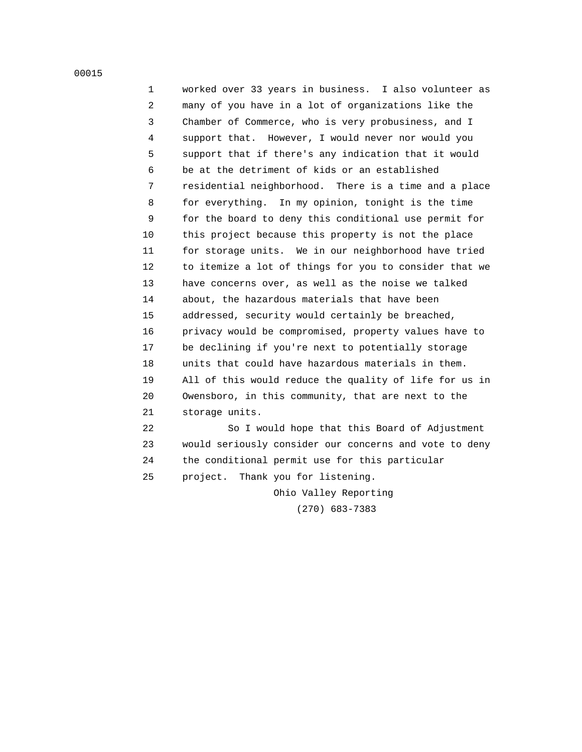1 worked over 33 years in business. I also volunteer as 2 many of you have in a lot of organizations like the 3 Chamber of Commerce, who is very probusiness, and I 4 support that. However, I would never nor would you 5 support that if there's any indication that it would 6 be at the detriment of kids or an established 7 residential neighborhood. There is a time and a place 8 for everything. In my opinion, tonight is the time 9 for the board to deny this conditional use permit for 10 this project because this property is not the place 11 for storage units. We in our neighborhood have tried 12 to itemize a lot of things for you to consider that we 13 have concerns over, as well as the noise we talked 14 about, the hazardous materials that have been 15 addressed, security would certainly be breached, 16 privacy would be compromised, property values have to 17 be declining if you're next to potentially storage 18 units that could have hazardous materials in them. 19 All of this would reduce the quality of life for us in 20 Owensboro, in this community, that are next to the 21 storage units.

 22 So I would hope that this Board of Adjustment 23 would seriously consider our concerns and vote to deny 24 the conditional permit use for this particular 25 project. Thank you for listening.

> Ohio Valley Reporting (270) 683-7383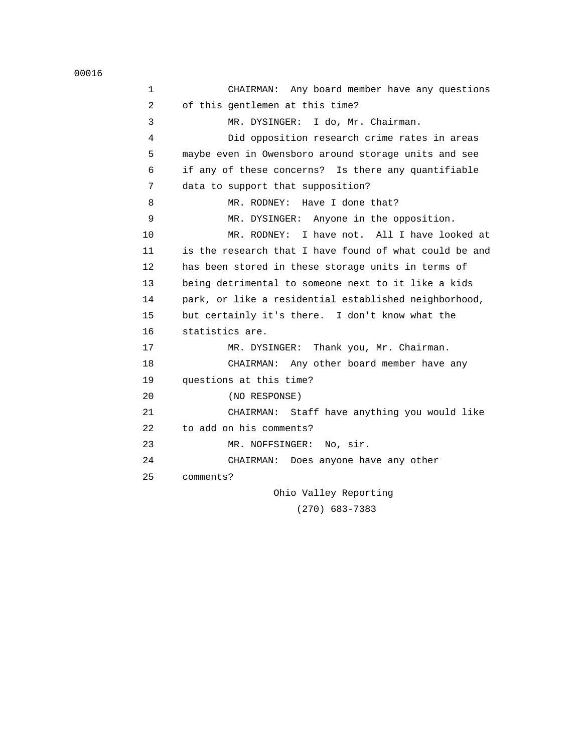1 CHAIRMAN: Any board member have any questions 2 of this gentlemen at this time? 3 MR. DYSINGER: I do, Mr. Chairman. 4 Did opposition research crime rates in areas 5 maybe even in Owensboro around storage units and see 6 if any of these concerns? Is there any quantifiable 7 data to support that supposition? 8 MR. RODNEY: Have I done that? 9 MR. DYSINGER: Anyone in the opposition. 10 MR. RODNEY: I have not. All I have looked at 11 is the research that I have found of what could be and 12 has been stored in these storage units in terms of 13 being detrimental to someone next to it like a kids 14 park, or like a residential established neighborhood, 15 but certainly it's there. I don't know what the 16 statistics are. 17 MR. DYSINGER: Thank you, Mr. Chairman. 18 CHAIRMAN: Any other board member have any 19 questions at this time? 20 (NO RESPONSE) 21 CHAIRMAN: Staff have anything you would like 22 to add on his comments? 23 MR. NOFFSINGER: No, sir. 24 CHAIRMAN: Does anyone have any other 25 comments? Ohio Valley Reporting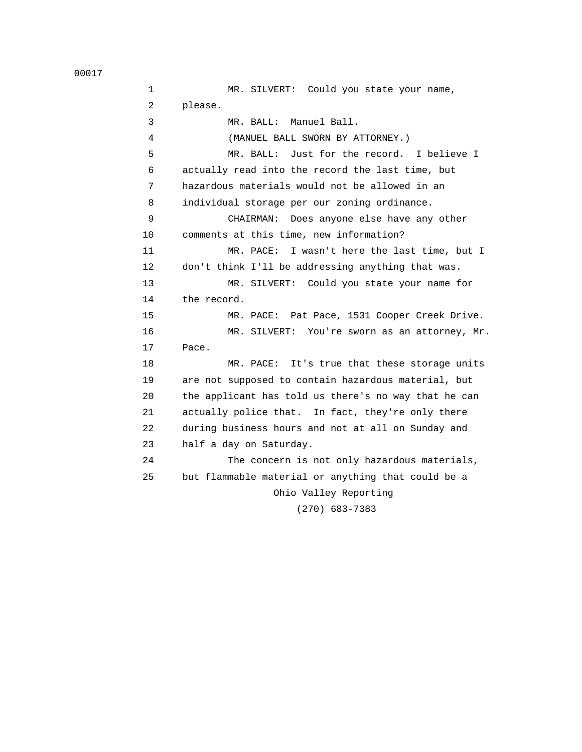1 MR. SILVERT: Could you state your name, 2 please. 3 MR. BALL: Manuel Ball. 4 (MANUEL BALL SWORN BY ATTORNEY.) 5 MR. BALL: Just for the record. I believe I 6 actually read into the record the last time, but 7 hazardous materials would not be allowed in an 8 individual storage per our zoning ordinance. 9 CHAIRMAN: Does anyone else have any other 10 comments at this time, new information? 11 MR. PACE: I wasn't here the last time, but I 12 don't think I'll be addressing anything that was. 13 MR. SILVERT: Could you state your name for 14 the record. 15 MR. PACE: Pat Pace, 1531 Cooper Creek Drive. 16 MR. SILVERT: You're sworn as an attorney, Mr. 17 Pace. 18 MR. PACE: It's true that these storage units 19 are not supposed to contain hazardous material, but 20 the applicant has told us there's no way that he can 21 actually police that. In fact, they're only there 22 during business hours and not at all on Sunday and 23 half a day on Saturday. 24 The concern is not only hazardous materials, 25 but flammable material or anything that could be a Ohio Valley Reporting (270) 683-7383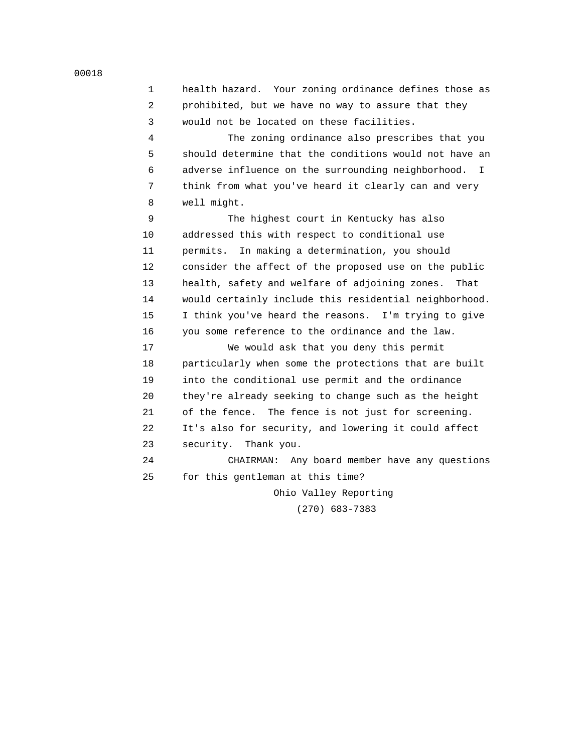1 health hazard. Your zoning ordinance defines those as 2 prohibited, but we have no way to assure that they 3 would not be located on these facilities.

 4 The zoning ordinance also prescribes that you 5 should determine that the conditions would not have an 6 adverse influence on the surrounding neighborhood. I 7 think from what you've heard it clearly can and very 8 well might.

 9 The highest court in Kentucky has also 10 addressed this with respect to conditional use 11 permits. In making a determination, you should 12 consider the affect of the proposed use on the public 13 health, safety and welfare of adjoining zones. That 14 would certainly include this residential neighborhood. 15 I think you've heard the reasons. I'm trying to give 16 you some reference to the ordinance and the law.

 17 We would ask that you deny this permit 18 particularly when some the protections that are built 19 into the conditional use permit and the ordinance 20 they're already seeking to change such as the height 21 of the fence. The fence is not just for screening. 22 It's also for security, and lowering it could affect 23 security. Thank you.

 24 CHAIRMAN: Any board member have any questions 25 for this gentleman at this time?

Ohio Valley Reporting

(270) 683-7383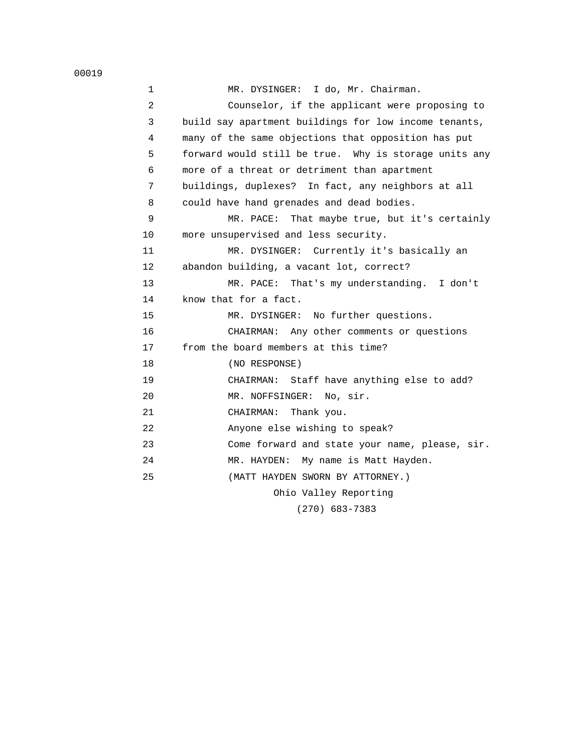| $\mathbf 1$ | MR. DYSINGER: I do, Mr. Chairman.                     |
|-------------|-------------------------------------------------------|
| 2           | Counselor, if the applicant were proposing to         |
| 3           | build say apartment buildings for low income tenants, |
| 4           | many of the same objections that opposition has put   |
| 5           | forward would still be true. Why is storage units any |
| 6           | more of a threat or detriment than apartment          |
| 7           | buildings, duplexes? In fact, any neighbors at all    |
| 8           | could have hand grenades and dead bodies.             |
| 9           | MR. PACE: That maybe true, but it's certainly         |
| 10          | more unsupervised and less security.                  |
| 11          | MR. DYSINGER: Currently it's basically an             |
| 12          | abandon building, a vacant lot, correct?              |
| 13          | MR. PACE: That's my understanding. I don't            |
| 14          | know that for a fact.                                 |
| 15          | MR. DYSINGER: No further questions.                   |
| 16          | CHAIRMAN: Any other comments or questions             |
| 17          | from the board members at this time?                  |
| 18          | (NO RESPONSE)                                         |
| 19          | CHAIRMAN: Staff have anything else to add?            |
| 20          | MR. NOFFSINGER: No, sir.                              |
| 21          | CHAIRMAN:<br>Thank you.                               |
| 22          | Anyone else wishing to speak?                         |
| 23          | Come forward and state your name, please, sir.        |
| 24          | MR. HAYDEN: My name is Matt Hayden.                   |
| 25          | (MATT HAYDEN SWORN BY ATTORNEY.)                      |
|             | Ohio Valley Reporting                                 |
|             |                                                       |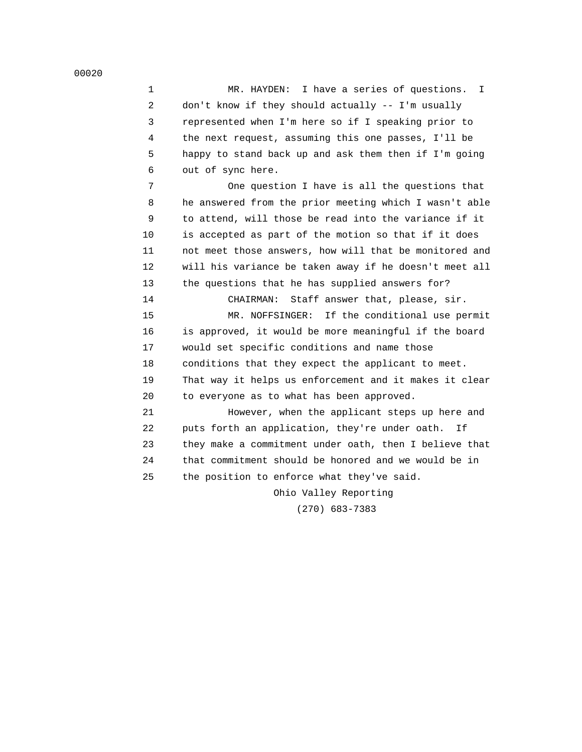1 MR. HAYDEN: I have a series of questions. I 2 don't know if they should actually -- I'm usually 3 represented when I'm here so if I speaking prior to 4 the next request, assuming this one passes, I'll be 5 happy to stand back up and ask them then if I'm going 6 out of sync here.

 7 One question I have is all the questions that 8 he answered from the prior meeting which I wasn't able 9 to attend, will those be read into the variance if it 10 is accepted as part of the motion so that if it does 11 not meet those answers, how will that be monitored and 12 will his variance be taken away if he doesn't meet all 13 the questions that he has supplied answers for?

 14 CHAIRMAN: Staff answer that, please, sir. 15 MR. NOFFSINGER: If the conditional use permit 16 is approved, it would be more meaningful if the board 17 would set specific conditions and name those 18 conditions that they expect the applicant to meet. 19 That way it helps us enforcement and it makes it clear 20 to everyone as to what has been approved.

 21 However, when the applicant steps up here and 22 puts forth an application, they're under oath. If 23 they make a commitment under oath, then I believe that 24 that commitment should be honored and we would be in 25 the position to enforce what they've said.

Ohio Valley Reporting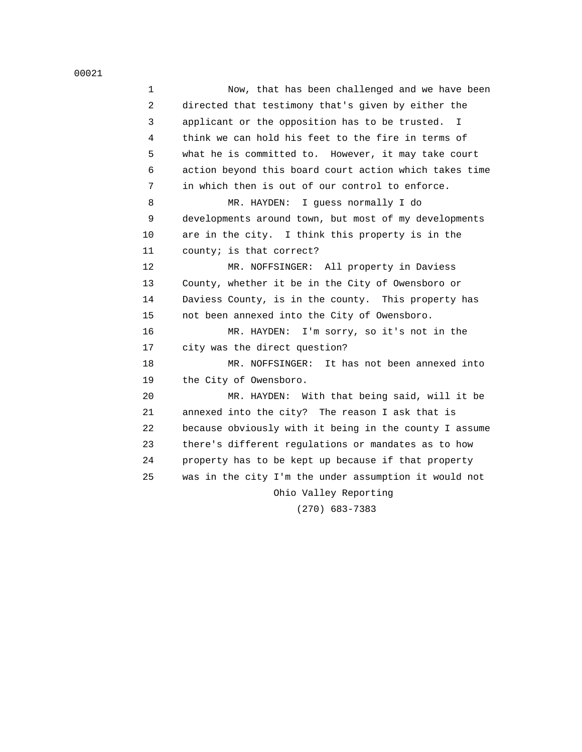1 Now, that has been challenged and we have been 2 directed that testimony that's given by either the 3 applicant or the opposition has to be trusted. I 4 think we can hold his feet to the fire in terms of 5 what he is committed to. However, it may take court 6 action beyond this board court action which takes time 7 in which then is out of our control to enforce. 8 MR. HAYDEN: I guess normally I do 9 developments around town, but most of my developments 10 are in the city. I think this property is in the 11 county; is that correct? 12 MR. NOFFSINGER: All property in Daviess 13 County, whether it be in the City of Owensboro or 14 Daviess County, is in the county. This property has 15 not been annexed into the City of Owensboro. 16 MR. HAYDEN: I'm sorry, so it's not in the 17 city was the direct question? 18 MR. NOFFSINGER: It has not been annexed into 19 the City of Owensboro. 20 MR. HAYDEN: With that being said, will it be 21 annexed into the city? The reason I ask that is 22 because obviously with it being in the county I assume 23 there's different regulations or mandates as to how 24 property has to be kept up because if that property 25 was in the city I'm the under assumption it would not Ohio Valley Reporting

(270) 683-7383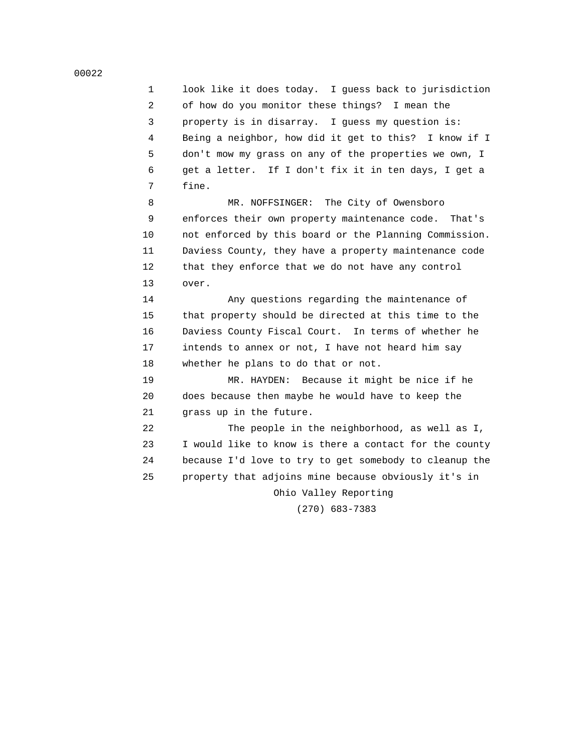1 look like it does today. I guess back to jurisdiction 2 of how do you monitor these things? I mean the 3 property is in disarray. I guess my question is: 4 Being a neighbor, how did it get to this? I know if I 5 don't mow my grass on any of the properties we own, I 6 get a letter. If I don't fix it in ten days, I get a 7 fine.

8 MR. NOFFSINGER: The City of Owensboro 9 enforces their own property maintenance code. That's 10 not enforced by this board or the Planning Commission. 11 Daviess County, they have a property maintenance code 12 that they enforce that we do not have any control 13 over.

 14 Any questions regarding the maintenance of 15 that property should be directed at this time to the 16 Daviess County Fiscal Court. In terms of whether he 17 intends to annex or not, I have not heard him say 18 whether he plans to do that or not.

 19 MR. HAYDEN: Because it might be nice if he 20 does because then maybe he would have to keep the 21 grass up in the future.

 22 The people in the neighborhood, as well as I, 23 I would like to know is there a contact for the county 24 because I'd love to try to get somebody to cleanup the 25 property that adjoins mine because obviously it's in

Ohio Valley Reporting

(270) 683-7383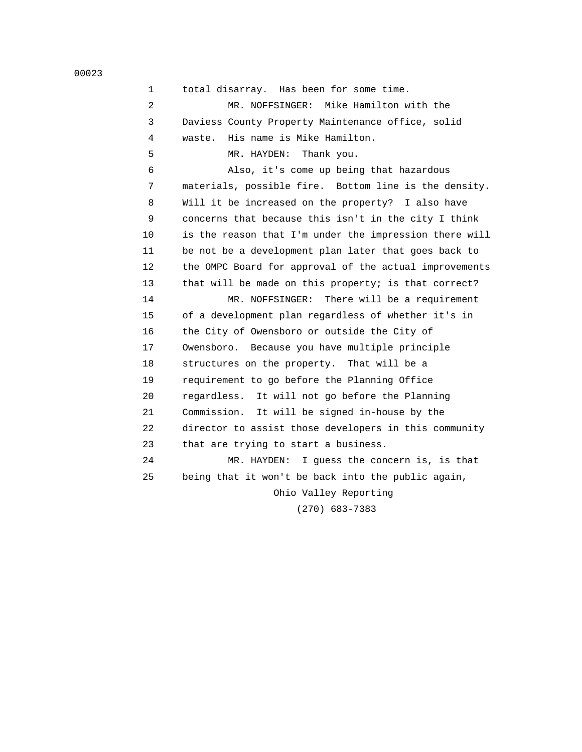| 00023 |
|-------|
|-------|

| $\mathbf{1}$ | total disarray. Has been for some time.                |
|--------------|--------------------------------------------------------|
| 2            | MR. NOFFSINGER: Mike Hamilton with the                 |
| 3            | Daviess County Property Maintenance office, solid      |
| 4            | His name is Mike Hamilton.<br>waste.                   |
| 5            | MR. HAYDEN: Thank you.                                 |
| 6            | Also, it's come up being that hazardous                |
| 7            | materials, possible fire. Bottom line is the density.  |
| 8            | Will it be increased on the property? I also have      |
| 9            | concerns that because this isn't in the city I think   |
| 10           | is the reason that I'm under the impression there will |
| 11           | be not be a development plan later that goes back to   |
| 12           | the OMPC Board for approval of the actual improvements |
| 13           | that will be made on this property; is that correct?   |
| 14           | MR. NOFFSINGER: There will be a requirement            |
| 15           | of a development plan regardless of whether it's in    |
| 16           | the City of Owensboro or outside the City of           |
| 17           | Owensboro. Because you have multiple principle         |
| 18           | structures on the property. That will be a             |
| 19           | requirement to go before the Planning Office           |
| 20           | regardless. It will not go before the Planning         |
| 21           | Commission. It will be signed in-house by the          |
| 22           | director to assist those developers in this community  |
| 23           | that are trying to start a business.                   |
| 24           | MR. HAYDEN: I guess the concern is, is that            |
| 25           | being that it won't be back into the public again,     |
|              | Ohio Valley Reporting                                  |
|              | $(270)$ 683-7383                                       |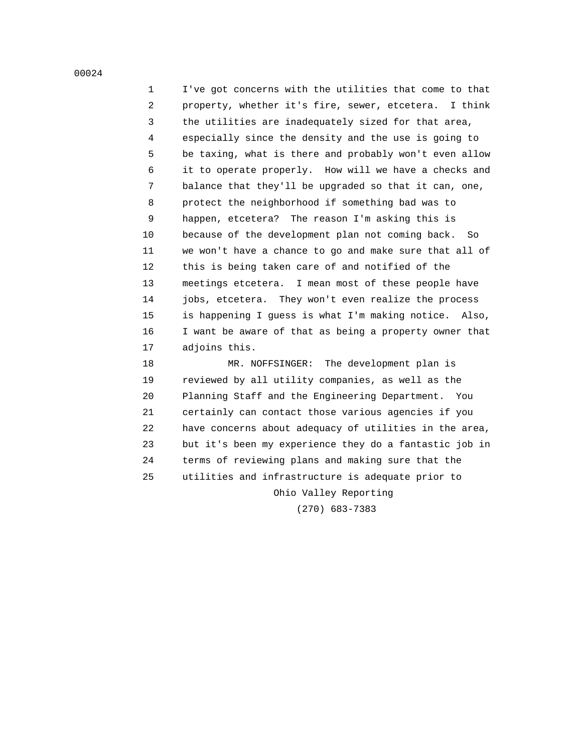1 I've got concerns with the utilities that come to that 2 property, whether it's fire, sewer, etcetera. I think 3 the utilities are inadequately sized for that area, 4 especially since the density and the use is going to 5 be taxing, what is there and probably won't even allow 6 it to operate properly. How will we have a checks and 7 balance that they'll be upgraded so that it can, one, 8 protect the neighborhood if something bad was to 9 happen, etcetera? The reason I'm asking this is 10 because of the development plan not coming back. So 11 we won't have a chance to go and make sure that all of 12 this is being taken care of and notified of the 13 meetings etcetera. I mean most of these people have 14 jobs, etcetera. They won't even realize the process 15 is happening I guess is what I'm making notice. Also, 16 I want be aware of that as being a property owner that 17 adjoins this.

18 MR. NOFFSINGER: The development plan is 19 reviewed by all utility companies, as well as the 20 Planning Staff and the Engineering Department. You 21 certainly can contact those various agencies if you 22 have concerns about adequacy of utilities in the area, 23 but it's been my experience they do a fantastic job in 24 terms of reviewing plans and making sure that the 25 utilities and infrastructure is adequate prior to Ohio Valley Reporting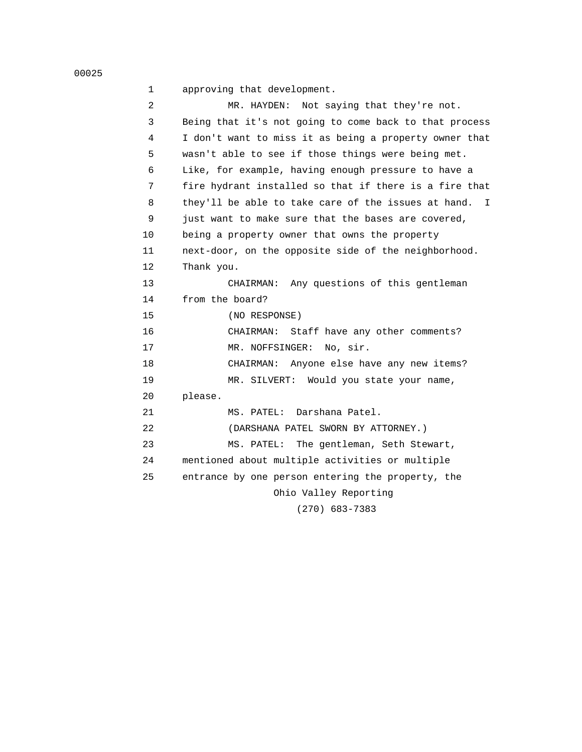```
 00025
```
1 approving that development.

| 2  | MR. HAYDEN: Not saying that they're not.                  |
|----|-----------------------------------------------------------|
| 3  | Being that it's not going to come back to that process    |
| 4  | I don't want to miss it as being a property owner that    |
| 5  | wasn't able to see if those things were being met.        |
| 6  | Like, for example, having enough pressure to have a       |
| 7  | fire hydrant installed so that if there is a fire that    |
| 8  | they'll be able to take care of the issues at hand.<br>I. |
| 9  | just want to make sure that the bases are covered,        |
| 10 | being a property owner that owns the property             |
| 11 | next-door, on the opposite side of the neighborhood.      |
| 12 | Thank you.                                                |
| 13 | CHAIRMAN: Any questions of this gentleman                 |
| 14 | from the board?                                           |
| 15 | (NO RESPONSE)                                             |
| 16 | Staff have any other comments?<br>CHAIRMAN:               |
| 17 | MR. NOFFSINGER:<br>No, sir.                               |
| 18 | Anyone else have any new items?<br>CHAIRMAN:              |
| 19 | MR. SILVERT: Would you state your name,                   |
| 20 | please.                                                   |
| 21 | Darshana Patel.<br>MS. PATEL:                             |
| 22 | (DARSHANA PATEL SWORN BY ATTORNEY.)                       |
| 23 | The gentleman, Seth Stewart,<br>MS. PATEL:                |
| 24 | mentioned about multiple activities or multiple           |
| 25 | entrance by one person entering the property, the         |
|    | Ohio Valley Reporting                                     |
|    | $(270)$ 683-7383                                          |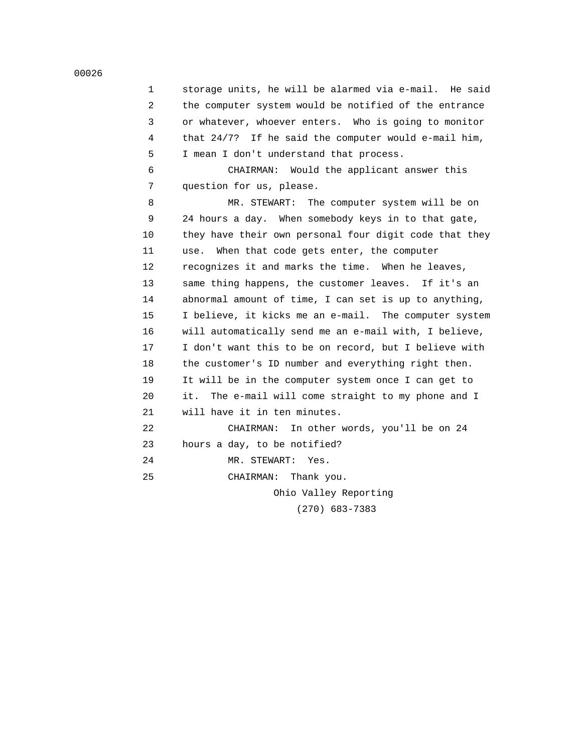| 1  | storage units, he will be alarmed via e-mail. He said    |
|----|----------------------------------------------------------|
| 2  | the computer system would be notified of the entrance    |
| 3  | or whatever, whoever enters. Who is going to monitor     |
| 4  | that $24/7$ ? If he said the computer would e-mail him,  |
| 5  | I mean I don't understand that process.                  |
| 6  | CHAIRMAN: Would the applicant answer this                |
| 7  | question for us, please.                                 |
| 8  | MR. STEWART: The computer system will be on              |
| 9  | 24 hours a day. When somebody keys in to that gate,      |
| 10 | they have their own personal four digit code that they   |
| 11 | use. When that code gets enter, the computer             |
| 12 | recognizes it and marks the time. When he leaves,        |
| 13 | same thing happens, the customer leaves. If it's an      |
| 14 | abnormal amount of time, I can set is up to anything,    |
| 15 | I believe, it kicks me an e-mail. The computer system    |
| 16 | will automatically send me an e-mail with, I believe,    |
| 17 | I don't want this to be on record, but I believe with    |
| 18 | the customer's ID number and everything right then.      |
| 19 | It will be in the computer system once I can get to      |
| 20 | it. I<br>The e-mail will come straight to my phone and I |
| 21 | will have it in ten minutes.                             |
| 22 | In other words, you'll be on 24<br>CHAIRMAN:             |
| 23 | hours a day, to be notified?                             |
| 24 | MR. STEWART:<br>Yes.                                     |
| 25 | CHAIRMAN: Thank you.                                     |
|    | Ohio Valley Reporting                                    |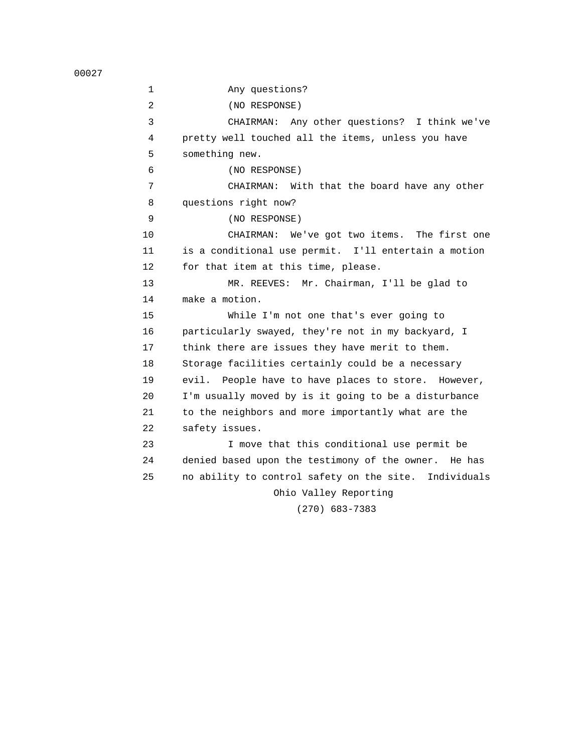1 Any questions? 2 (NO RESPONSE) 3 CHAIRMAN: Any other questions? I think we've 4 pretty well touched all the items, unless you have 5 something new. 6 (NO RESPONSE) 7 CHAIRMAN: With that the board have any other 8 questions right now? 9 (NO RESPONSE) 10 CHAIRMAN: We've got two items. The first one 11 is a conditional use permit. I'll entertain a motion 12 for that item at this time, please. 13 MR. REEVES: Mr. Chairman, I'll be glad to 14 make a motion. 15 While I'm not one that's ever going to 16 particularly swayed, they're not in my backyard, I 17 think there are issues they have merit to them. 18 Storage facilities certainly could be a necessary 19 evil. People have to have places to store. However, 20 I'm usually moved by is it going to be a disturbance 21 to the neighbors and more importantly what are the 22 safety issues. 23 I move that this conditional use permit be 24 denied based upon the testimony of the owner. He has 25 no ability to control safety on the site. Individuals Ohio Valley Reporting (270) 683-7383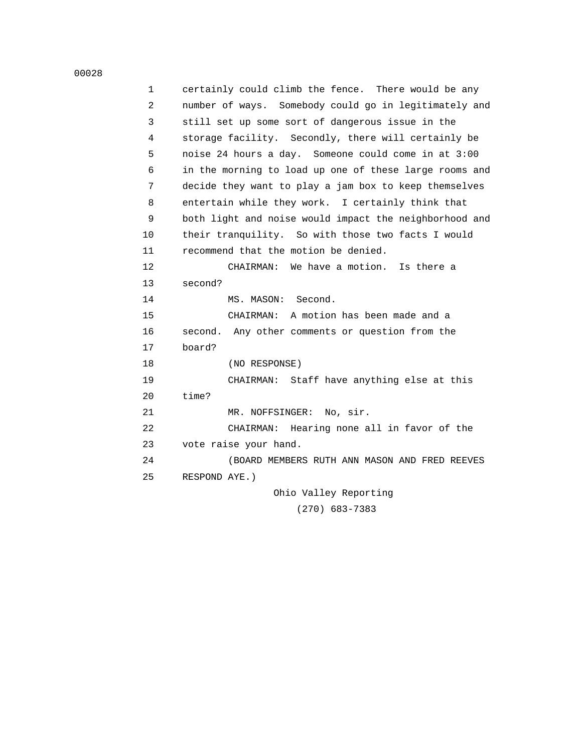| $\mathbf 1$ | certainly could climb the fence. There would be any    |
|-------------|--------------------------------------------------------|
| 2           | number of ways. Somebody could go in legitimately and  |
| 3           | still set up some sort of dangerous issue in the       |
| 4           | storage facility. Secondly, there will certainly be    |
| 5           | noise 24 hours a day. Someone could come in at 3:00    |
| 6           | in the morning to load up one of these large rooms and |
| 7           | decide they want to play a jam box to keep themselves  |
| 8           | entertain while they work. I certainly think that      |
| 9           | both light and noise would impact the neighborhood and |
| 10          | their tranquility. So with those two facts I would     |
| 11          | recommend that the motion be denied.                   |
| 12          | CHAIRMAN: We have a motion. Is there a                 |
| 13          | second?                                                |
| 14          | MS. MASON: Second.                                     |
| 15          | CHAIRMAN: A motion has been made and a                 |
| 16          | second. Any other comments or question from the        |
| 17          | board?                                                 |
| 18          | (NO RESPONSE)                                          |
| 19          | CHAIRMAN: Staff have anything else at this             |
| 20          | time?                                                  |
| 21          | MR. NOFFSINGER: No, sir.                               |
| 22          | CHAIRMAN: Hearing none all in favor of the             |
| 23          | vote raise your hand.                                  |
| 24          | (BOARD MEMBERS RUTH ANN MASON AND FRED REEVES          |
| 25          | RESPOND AYE.)                                          |
|             | Ohio Valley Reporting                                  |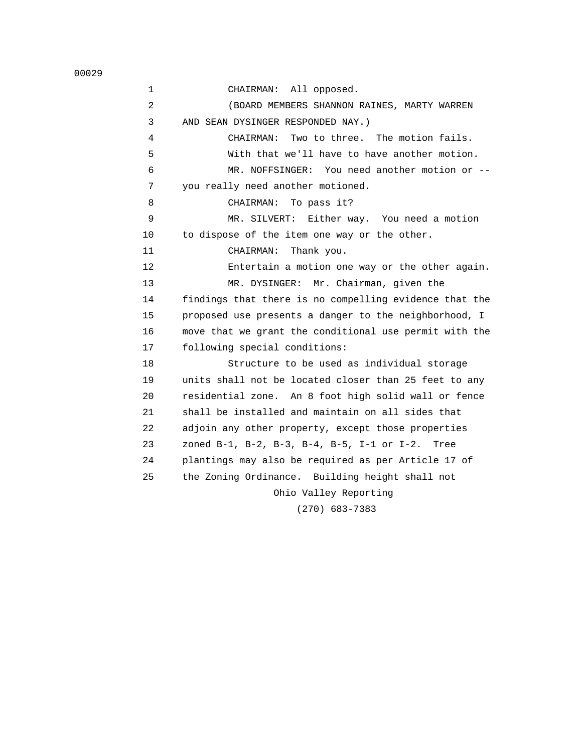1 CHAIRMAN: All opposed. 2 (BOARD MEMBERS SHANNON RAINES, MARTY WARREN 3 AND SEAN DYSINGER RESPONDED NAY.) 4 CHAIRMAN: Two to three. The motion fails. 5 With that we'll have to have another motion. 6 MR. NOFFSINGER: You need another motion or -- 7 you really need another motioned. 8 CHAIRMAN: To pass it? 9 MR. SILVERT: Either way. You need a motion 10 to dispose of the item one way or the other. 11 CHAIRMAN: Thank you. 12 Entertain a motion one way or the other again. 13 MR. DYSINGER: Mr. Chairman, given the 14 findings that there is no compelling evidence that the 15 proposed use presents a danger to the neighborhood, I 16 move that we grant the conditional use permit with the 17 following special conditions: 18 Structure to be used as individual storage 19 units shall not be located closer than 25 feet to any 20 residential zone. An 8 foot high solid wall or fence 21 shall be installed and maintain on all sides that 22 adjoin any other property, except those properties 23 zoned B-1, B-2, B-3, B-4, B-5, I-1 or I-2. Tree 24 plantings may also be required as per Article 17 of 25 the Zoning Ordinance. Building height shall not Ohio Valley Reporting (270) 683-7383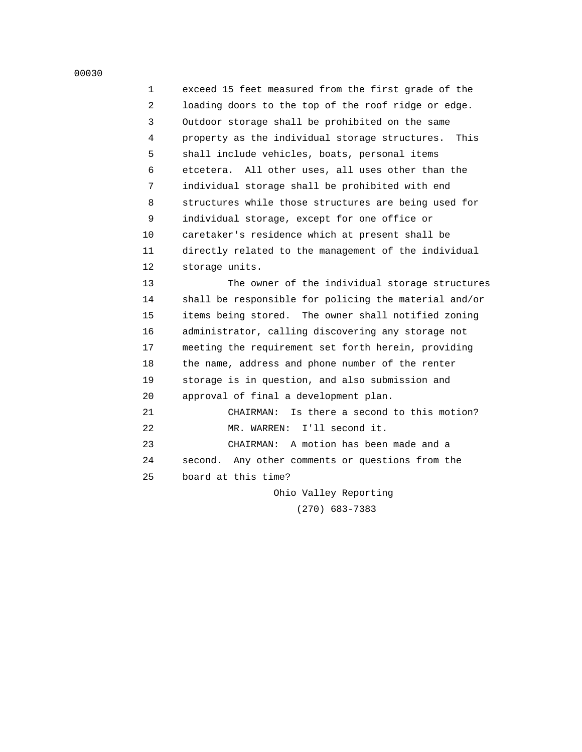1 exceed 15 feet measured from the first grade of the 2 loading doors to the top of the roof ridge or edge. 3 Outdoor storage shall be prohibited on the same 4 property as the individual storage structures. This 5 shall include vehicles, boats, personal items 6 etcetera. All other uses, all uses other than the 7 individual storage shall be prohibited with end 8 structures while those structures are being used for 9 individual storage, except for one office or 10 caretaker's residence which at present shall be 11 directly related to the management of the individual 12 storage units.

 13 The owner of the individual storage structures 14 shall be responsible for policing the material and/or 15 items being stored. The owner shall notified zoning 16 administrator, calling discovering any storage not 17 meeting the requirement set forth herein, providing 18 the name, address and phone number of the renter 19 storage is in question, and also submission and 20 approval of final a development plan. 21 CHAIRMAN: Is there a second to this motion?

22 MR. WARREN: I'll second it.

 23 CHAIRMAN: A motion has been made and a 24 second. Any other comments or questions from the 25 board at this time?

> Ohio Valley Reporting (270) 683-7383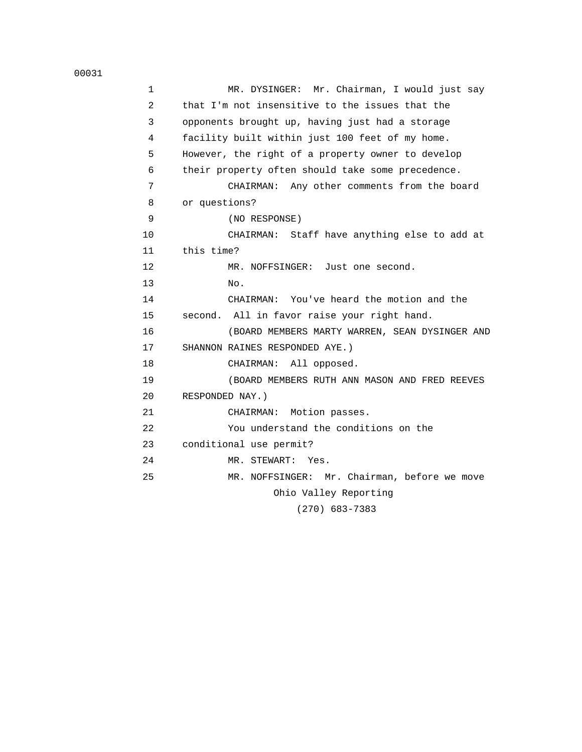| $\mathbf 1$    | Mr. Chairman, I would just say<br>MR. DYSINGER:   |
|----------------|---------------------------------------------------|
| $\overline{2}$ | that I'm not insensitive to the issues that the   |
| 3              | opponents brought up, having just had a storage   |
| 4              | facility built within just 100 feet of my home.   |
| 5              | However, the right of a property owner to develop |
| 6              | their property often should take some precedence. |
| 7              | CHAIRMAN: Any other comments from the board       |
| 8              | or questions?                                     |
| 9              | (NO RESPONSE)                                     |
| 10             | CHAIRMAN: Staff have anything else to add at      |
| 11             | this time?                                        |
| 12             | MR. NOFFSINGER: Just one second.                  |
| 13             | No.                                               |
| 14             | CHAIRMAN: You've heard the motion and the         |
| 15             | second. All in favor raise your right hand.       |
| 16             | (BOARD MEMBERS MARTY WARREN, SEAN DYSINGER AND    |
| 17             | SHANNON RAINES RESPONDED AYE.)                    |
| 18             | CHAIRMAN: All opposed.                            |
| 19             | (BOARD MEMBERS RUTH ANN MASON AND FRED REEVES     |
| 20             | RESPONDED NAY.)                                   |
| 21             | Motion passes.<br>CHAIRMAN:                       |
| 22             | You understand the conditions on the              |
| 23             | conditional use permit?                           |
| 24             | MR. STEWART: Yes.                                 |
| 25             | MR. NOFFSINGER: Mr. Chairman, before we move      |
|                | Ohio Valley Reporting                             |
|                |                                                   |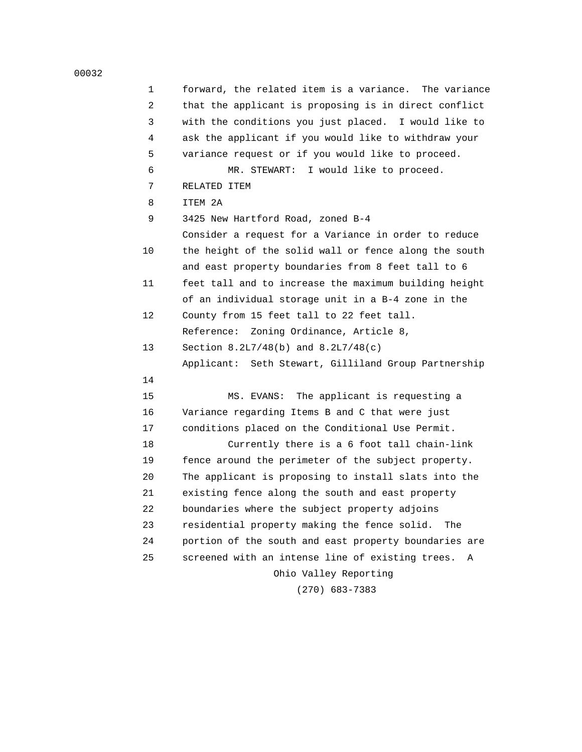| 1  | forward, the related item is a variance.<br>The variance |
|----|----------------------------------------------------------|
| 2  | that the applicant is proposing is in direct conflict    |
| 3  | with the conditions you just placed. I would like to     |
| 4  | ask the applicant if you would like to withdraw your     |
| 5  | variance request or if you would like to proceed.        |
| 6  | I would like to proceed.<br>MR. STEWART:                 |
| 7  | RELATED ITEM                                             |
| 8  | ITEM 2A                                                  |
| 9  | 3425 New Hartford Road, zoned B-4                        |
|    | Consider a request for a Variance in order to reduce     |
| 10 | the height of the solid wall or fence along the south    |
|    | and east property boundaries from 8 feet tall to 6       |
| 11 | feet tall and to increase the maximum building height    |
|    | of an individual storage unit in a B-4 zone in the       |
| 12 | County from 15 feet tall to 22 feet tall.                |
|    | Zoning Ordinance, Article 8,<br>Reference:               |
| 13 | Section $8.2L7/48(b)$ and $8.2L7/48(c)$                  |
|    | Applicant: Seth Stewart, Gilliland Group Partnership     |
| 14 |                                                          |
| 15 | The applicant is requesting a<br>MS. EVANS:              |
| 16 | Variance regarding Items B and C that were just          |
| 17 | conditions placed on the Conditional Use Permit.         |
| 18 | Currently there is a 6 foot tall chain-link              |
| 19 | fence around the perimeter of the subject property.      |
| 20 | The applicant is proposing to install slats into the     |
| 21 | existing fence along the south and east property         |
| 22 | boundaries where the subject property adjoins            |
| 23 | residential property making the fence solid.<br>The      |
| 24 | portion of the south and east property boundaries are    |
| 25 | screened with an intense line of existing trees.<br>Α    |
|    | Ohio Valley Reporting                                    |
|    |                                                          |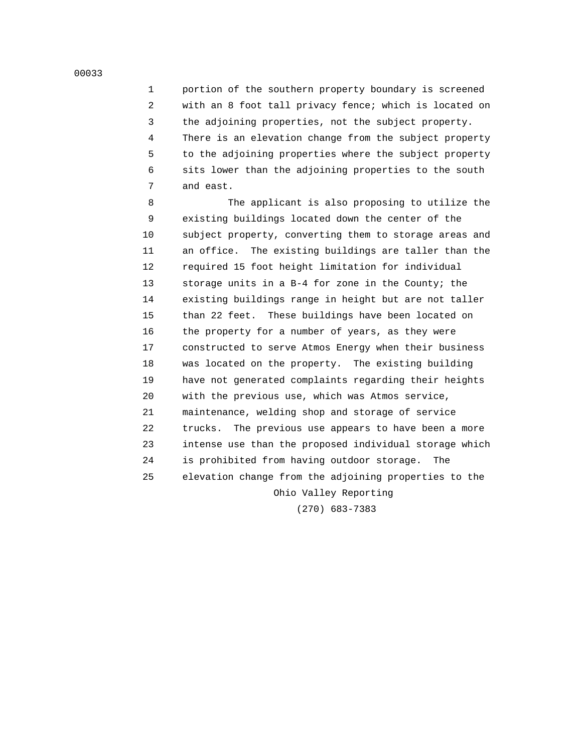1 portion of the southern property boundary is screened 2 with an 8 foot tall privacy fence; which is located on 3 the adjoining properties, not the subject property. 4 There is an elevation change from the subject property 5 to the adjoining properties where the subject property 6 sits lower than the adjoining properties to the south 7 and east.

 8 The applicant is also proposing to utilize the 9 existing buildings located down the center of the 10 subject property, converting them to storage areas and 11 an office. The existing buildings are taller than the 12 required 15 foot height limitation for individual 13 storage units in a B-4 for zone in the County; the 14 existing buildings range in height but are not taller 15 than 22 feet. These buildings have been located on 16 the property for a number of years, as they were 17 constructed to serve Atmos Energy when their business 18 was located on the property. The existing building 19 have not generated complaints regarding their heights 20 with the previous use, which was Atmos service, 21 maintenance, welding shop and storage of service 22 trucks. The previous use appears to have been a more 23 intense use than the proposed individual storage which 24 is prohibited from having outdoor storage. The 25 elevation change from the adjoining properties to the Ohio Valley Reporting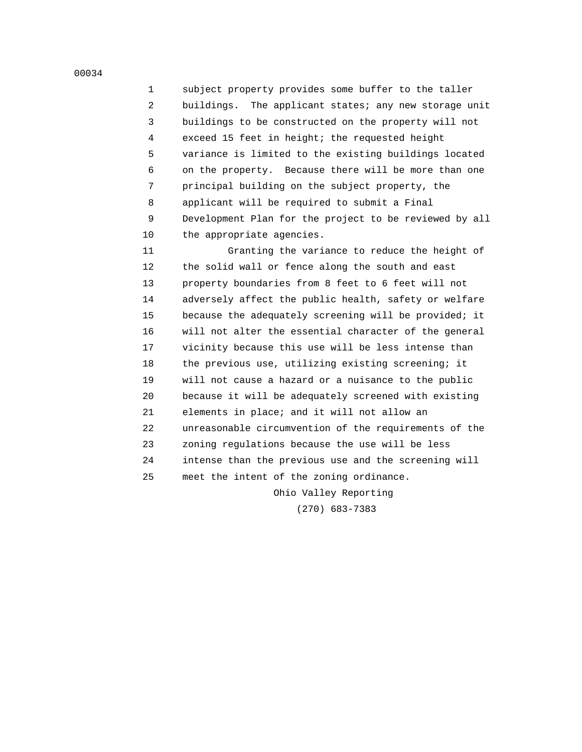1 subject property provides some buffer to the taller 2 buildings. The applicant states; any new storage unit 3 buildings to be constructed on the property will not 4 exceed 15 feet in height; the requested height 5 variance is limited to the existing buildings located 6 on the property. Because there will be more than one 7 principal building on the subject property, the 8 applicant will be required to submit a Final 9 Development Plan for the project to be reviewed by all 10 the appropriate agencies.

 11 Granting the variance to reduce the height of 12 the solid wall or fence along the south and east 13 property boundaries from 8 feet to 6 feet will not 14 adversely affect the public health, safety or welfare 15 because the adequately screening will be provided; it 16 will not alter the essential character of the general 17 vicinity because this use will be less intense than 18 the previous use, utilizing existing screening; it 19 will not cause a hazard or a nuisance to the public 20 because it will be adequately screened with existing 21 elements in place; and it will not allow an 22 unreasonable circumvention of the requirements of the 23 zoning regulations because the use will be less 24 intense than the previous use and the screening will 25 meet the intent of the zoning ordinance.

Ohio Valley Reporting

(270) 683-7383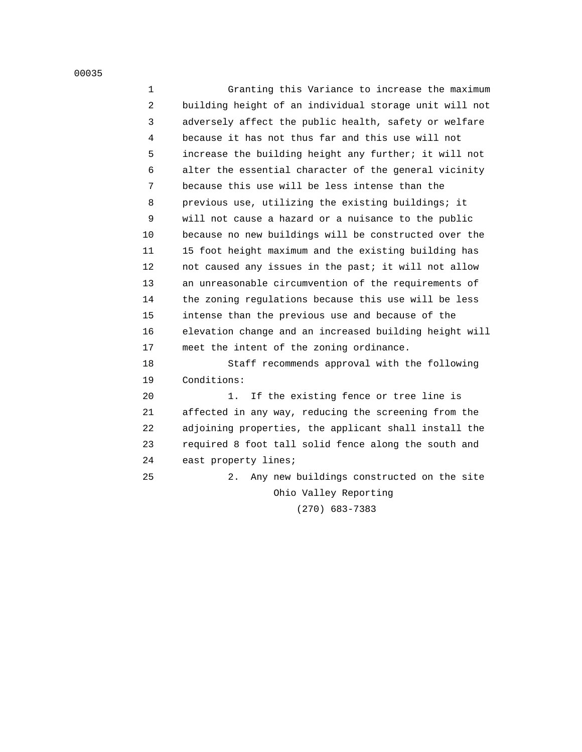1 Granting this Variance to increase the maximum 2 building height of an individual storage unit will not 3 adversely affect the public health, safety or welfare 4 because it has not thus far and this use will not 5 increase the building height any further; it will not 6 alter the essential character of the general vicinity 7 because this use will be less intense than the 8 previous use, utilizing the existing buildings; it 9 will not cause a hazard or a nuisance to the public 10 because no new buildings will be constructed over the 11 15 foot height maximum and the existing building has 12 not caused any issues in the past; it will not allow 13 an unreasonable circumvention of the requirements of 14 the zoning regulations because this use will be less 15 intense than the previous use and because of the 16 elevation change and an increased building height will 17 meet the intent of the zoning ordinance. 18 Staff recommends approval with the following 19 Conditions: 20 1. If the existing fence or tree line is 21 affected in any way, reducing the screening from the 22 adjoining properties, the applicant shall install the 23 required 8 foot tall solid fence along the south and

24 east property lines;

 25 2. Any new buildings constructed on the site Ohio Valley Reporting (270) 683-7383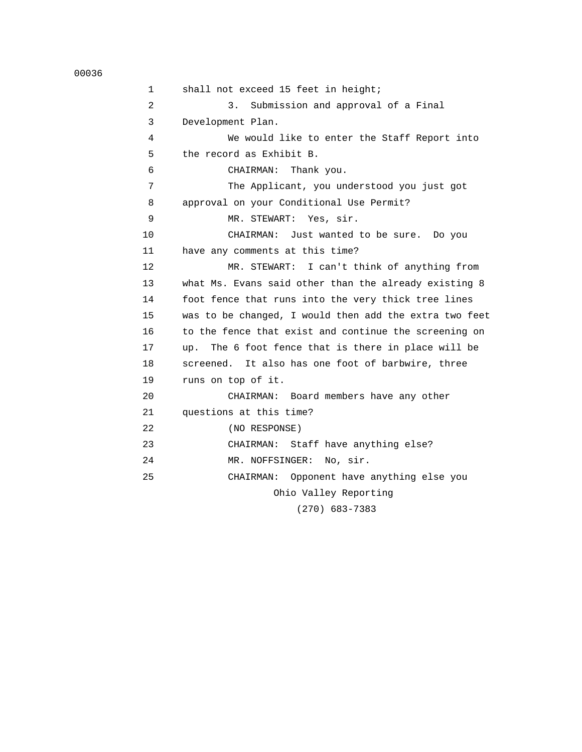```
 00036
```

| $\mathbf{1}$ | shall not exceed 15 feet in height;                    |
|--------------|--------------------------------------------------------|
| 2            | 3.<br>Submission and approval of a Final               |
| 3            | Development Plan.                                      |
| 4            | We would like to enter the Staff Report into           |
| 5            | the record as Exhibit B.                               |
| 6            | CHAIRMAN: Thank you.                                   |
| 7            | The Applicant, you understood you just got             |
| 8            | approval on your Conditional Use Permit?               |
| 9            | MR. STEWART: Yes, sir.                                 |
| 10           | CHAIRMAN: Just wanted to be sure. Do you               |
| 11           | have any comments at this time?                        |
| 12           | MR. STEWART: I can't think of anything from            |
| 13           | what Ms. Evans said other than the already existing 8  |
| 14           | foot fence that runs into the very thick tree lines    |
| 15           | was to be changed, I would then add the extra two feet |
| 16           | to the fence that exist and continue the screening on  |
| 17           | The 6 foot fence that is there in place will be<br>up. |
| 18           | screened. It also has one foot of barbwire, three      |
| 19           | runs on top of it.                                     |
| 20           | CHAIRMAN: Board members have any other                 |
| 21           | questions at this time?                                |
| 22           | (NO RESPONSE)                                          |
| 23           | CHAIRMAN: Staff have anything else?                    |
| 24           | MR. NOFFSINGER: No, sir.                               |
| 25           | CHAIRMAN: Opponent have anything else you              |
|              | Ohio Valley Reporting                                  |
|              | רמכד כמא וחדרו                                         |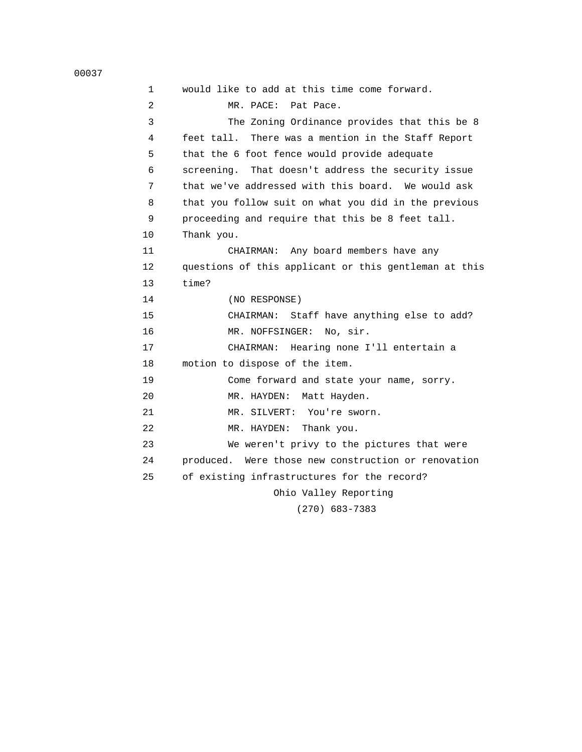1 would like to add at this time come forward. 2 MR. PACE: Pat Pace. 3 The Zoning Ordinance provides that this be 8 4 feet tall. There was a mention in the Staff Report 5 that the 6 foot fence would provide adequate 6 screening. That doesn't address the security issue 7 that we've addressed with this board. We would ask 8 that you follow suit on what you did in the previous 9 proceeding and require that this be 8 feet tall. 10 Thank you. 11 CHAIRMAN: Any board members have any 12 questions of this applicant or this gentleman at this 13 time? 14 (NO RESPONSE) 15 CHAIRMAN: Staff have anything else to add? 16 MR. NOFFSINGER: No, sir. 17 CHAIRMAN: Hearing none I'll entertain a 18 motion to dispose of the item. 19 Come forward and state your name, sorry. 20 MR. HAYDEN: Matt Hayden. 21 MR. SILVERT: You're sworn. 22 MR. HAYDEN: Thank you. 23 We weren't privy to the pictures that were 24 produced. Were those new construction or renovation 25 of existing infrastructures for the record? Ohio Valley Reporting (270) 683-7383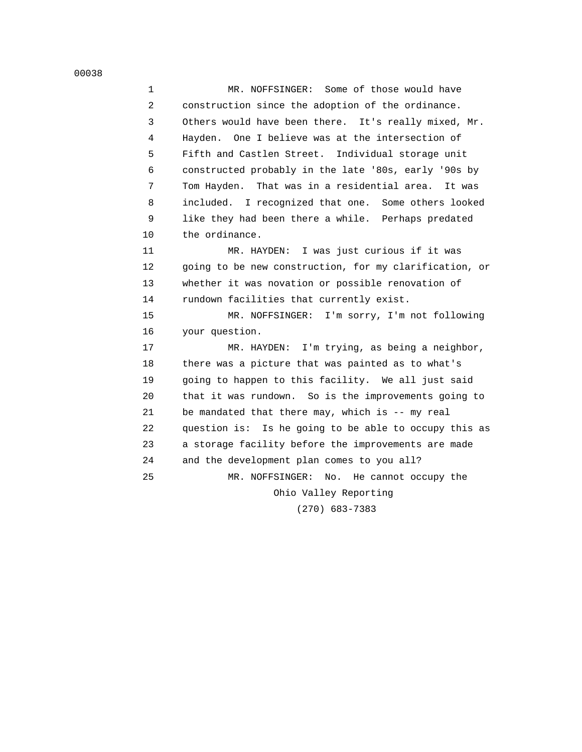1 MR. NOFFSINGER: Some of those would have 2 construction since the adoption of the ordinance. 3 Others would have been there. It's really mixed, Mr. 4 Hayden. One I believe was at the intersection of 5 Fifth and Castlen Street. Individual storage unit 6 constructed probably in the late '80s, early '90s by 7 Tom Hayden. That was in a residential area. It was 8 included. I recognized that one. Some others looked 9 like they had been there a while. Perhaps predated 10 the ordinance. 11 MR. HAYDEN: I was just curious if it was 12 going to be new construction, for my clarification, or 13 whether it was novation or possible renovation of 14 rundown facilities that currently exist. 15 MR. NOFFSINGER: I'm sorry, I'm not following 16 your question. 17 MR. HAYDEN: I'm trying, as being a neighbor, 18 there was a picture that was painted as to what's 19 going to happen to this facility. We all just said 20 that it was rundown. So is the improvements going to 21 be mandated that there may, which is -- my real 22 question is: Is he going to be able to occupy this as 23 a storage facility before the improvements are made 24 and the development plan comes to you all? 25 MR. NOFFSINGER: No. He cannot occupy the Ohio Valley Reporting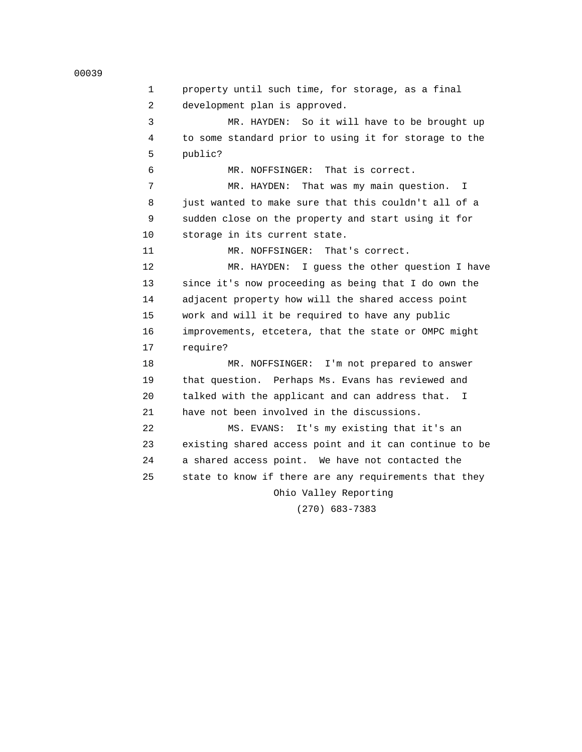| 1               | property until such time, for storage, as a final      |
|-----------------|--------------------------------------------------------|
| 2               | development plan is approved.                          |
| 3               | MR. HAYDEN: So it will have to be brought up           |
| 4               | to some standard prior to using it for storage to the  |
| 5               | public?                                                |
| 6               | MR. NOFFSINGER: That is correct.                       |
| 7               | MR. HAYDEN: That was my main question.<br>I.           |
| 8               | just wanted to make sure that this couldn't all of a   |
| 9               | sudden close on the property and start using it for    |
| 10              | storage in its current state.                          |
| 11              | That's correct.<br>MR. NOFFSINGER:                     |
| 12 <sup>2</sup> | MR. HAYDEN: I guess the other question I have          |
| 13              | since it's now proceeding as being that I do own the   |
| 14              | adjacent property how will the shared access point     |
| 15              | work and will it be required to have any public        |
| 16              | improvements, etcetera, that the state or OMPC might   |
| 17              | require?                                               |
| 18              | MR. NOFFSINGER: I'm not prepared to answer             |
| 19              | that question. Perhaps Ms. Evans has reviewed and      |
| 20              | talked with the applicant and can address that. I      |
| 21              | have not been involved in the discussions.             |
| 22              | It's my existing that it's an<br>MS. EVANS:            |
| 23              | existing shared access point and it can continue to be |
| 24              | a shared access point. We have not contacted the       |
| 25              | state to know if there are any requirements that they  |
|                 | Ohio Valley Reporting                                  |
|                 |                                                        |

(270) 683-7383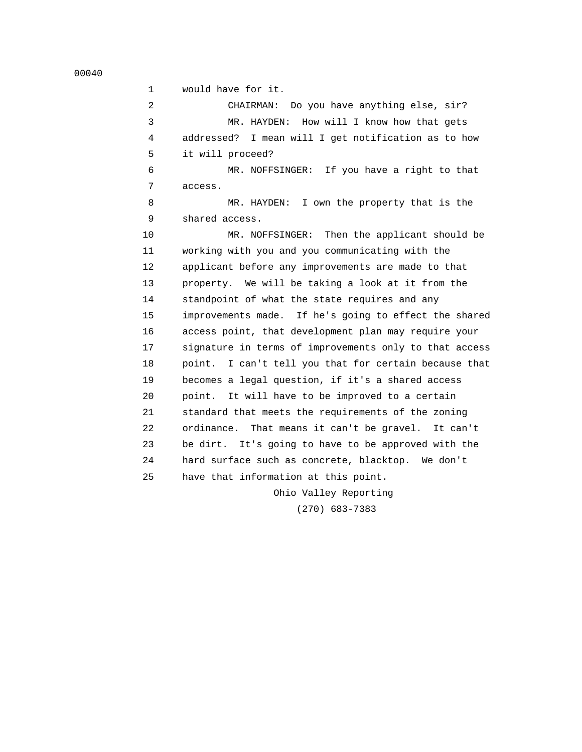1 would have for it. 2 CHAIRMAN: Do you have anything else, sir? 3 MR. HAYDEN: How will I know how that gets 4 addressed? I mean will I get notification as to how 5 it will proceed? 6 MR. NOFFSINGER: If you have a right to that 7 access. 8 MR. HAYDEN: I own the property that is the 9 shared access. 10 MR. NOFFSINGER: Then the applicant should be 11 working with you and you communicating with the 12 applicant before any improvements are made to that 13 property. We will be taking a look at it from the 14 standpoint of what the state requires and any 15 improvements made. If he's going to effect the shared 16 access point, that development plan may require your 17 signature in terms of improvements only to that access 18 point. I can't tell you that for certain because that 19 becomes a legal question, if it's a shared access 20 point. It will have to be improved to a certain 21 standard that meets the requirements of the zoning 22 ordinance. That means it can't be gravel. It can't 23 be dirt. It's going to have to be approved with the 24 hard surface such as concrete, blacktop. We don't 25 have that information at this point.

Ohio Valley Reporting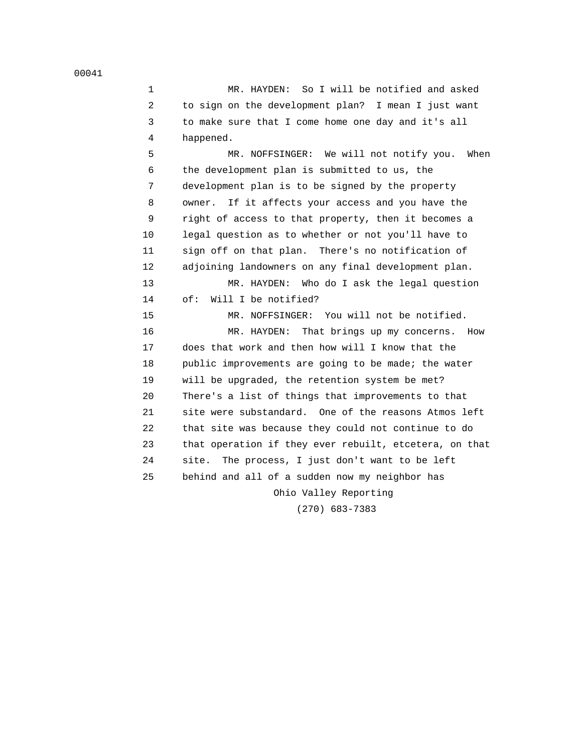1 MR. HAYDEN: So I will be notified and asked 2 to sign on the development plan? I mean I just want 3 to make sure that I come home one day and it's all 4 happened.

 5 MR. NOFFSINGER: We will not notify you. When 6 the development plan is submitted to us, the 7 development plan is to be signed by the property 8 owner. If it affects your access and you have the 9 right of access to that property, then it becomes a 10 legal question as to whether or not you'll have to 11 sign off on that plan. There's no notification of 12 adjoining landowners on any final development plan. 13 MR. HAYDEN: Who do I ask the legal question 14 of: Will I be notified? 15 MR. NOFFSINGER: You will not be notified. 16 MR. HAYDEN: That brings up my concerns. How 17 does that work and then how will I know that the 18 public improvements are going to be made; the water 19 will be upgraded, the retention system be met? 20 There's a list of things that improvements to that 21 site were substandard. One of the reasons Atmos left 22 that site was because they could not continue to do 23 that operation if they ever rebuilt, etcetera, on that 24 site. The process, I just don't want to be left 25 behind and all of a sudden now my neighbor has Ohio Valley Reporting

(270) 683-7383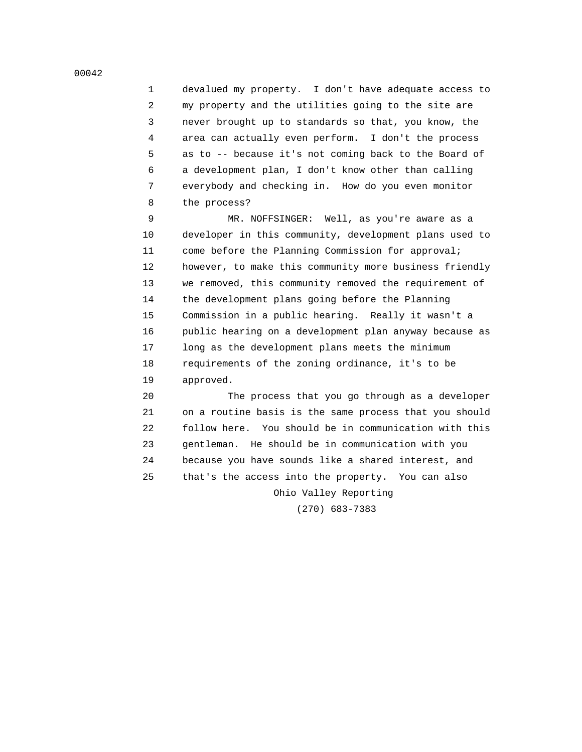1 devalued my property. I don't have adequate access to 2 my property and the utilities going to the site are 3 never brought up to standards so that, you know, the 4 area can actually even perform. I don't the process 5 as to -- because it's not coming back to the Board of 6 a development plan, I don't know other than calling 7 everybody and checking in. How do you even monitor 8 the process?

 9 MR. NOFFSINGER: Well, as you're aware as a 10 developer in this community, development plans used to 11 come before the Planning Commission for approval; 12 however, to make this community more business friendly 13 we removed, this community removed the requirement of 14 the development plans going before the Planning 15 Commission in a public hearing. Really it wasn't a 16 public hearing on a development plan anyway because as 17 long as the development plans meets the minimum 18 requirements of the zoning ordinance, it's to be 19 approved.

 20 The process that you go through as a developer 21 on a routine basis is the same process that you should 22 follow here. You should be in communication with this 23 gentleman. He should be in communication with you 24 because you have sounds like a shared interest, and 25 that's the access into the property. You can also Ohio Valley Reporting

(270) 683-7383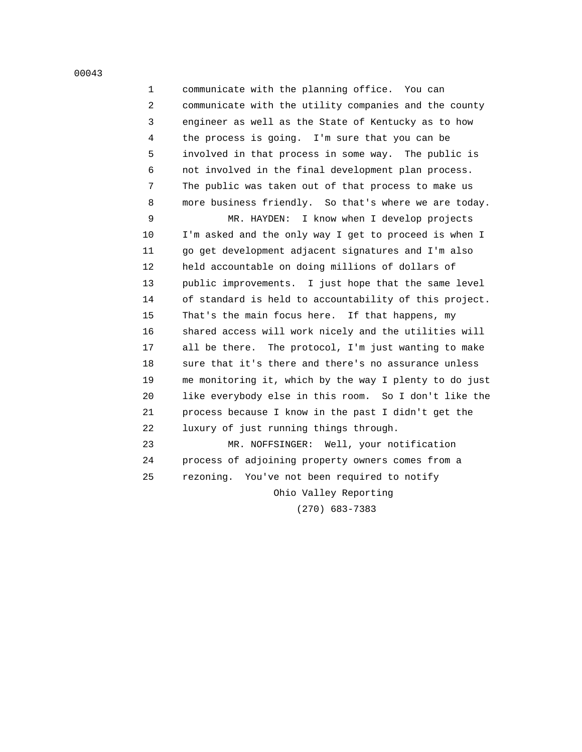1 communicate with the planning office. You can 2 communicate with the utility companies and the county 3 engineer as well as the State of Kentucky as to how 4 the process is going. I'm sure that you can be 5 involved in that process in some way. The public is 6 not involved in the final development plan process. 7 The public was taken out of that process to make us 8 more business friendly. So that's where we are today.

 9 MR. HAYDEN: I know when I develop projects 10 I'm asked and the only way I get to proceed is when I 11 go get development adjacent signatures and I'm also 12 held accountable on doing millions of dollars of 13 public improvements. I just hope that the same level 14 of standard is held to accountability of this project. 15 That's the main focus here. If that happens, my 16 shared access will work nicely and the utilities will 17 all be there. The protocol, I'm just wanting to make 18 sure that it's there and there's no assurance unless 19 me monitoring it, which by the way I plenty to do just 20 like everybody else in this room. So I don't like the 21 process because I know in the past I didn't get the 22 luxury of just running things through.

 23 MR. NOFFSINGER: Well, your notification 24 process of adjoining property owners comes from a 25 rezoning. You've not been required to notify Ohio Valley Reporting

(270) 683-7383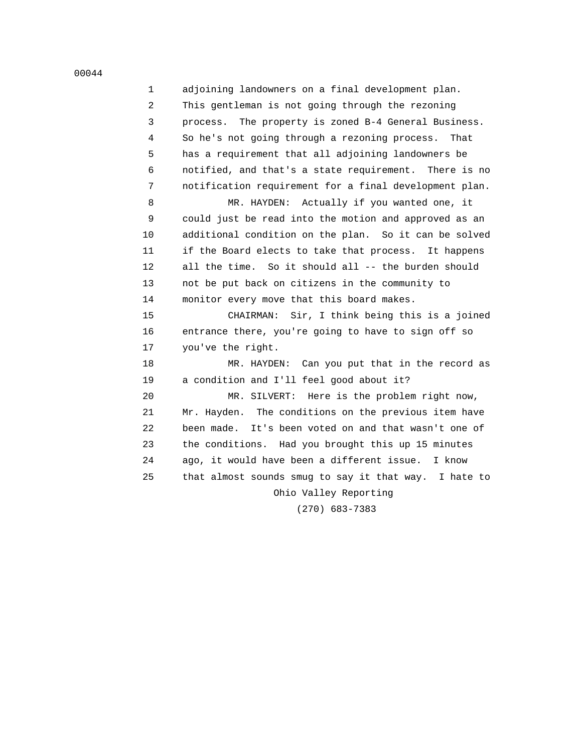1 adjoining landowners on a final development plan. 2 This gentleman is not going through the rezoning 3 process. The property is zoned B-4 General Business. 4 So he's not going through a rezoning process. That 5 has a requirement that all adjoining landowners be 6 notified, and that's a state requirement. There is no 7 notification requirement for a final development plan. 8 MR. HAYDEN: Actually if you wanted one, it 9 could just be read into the motion and approved as an 10 additional condition on the plan. So it can be solved 11 if the Board elects to take that process. It happens 12 all the time. So it should all -- the burden should 13 not be put back on citizens in the community to 14 monitor every move that this board makes. 15 CHAIRMAN: Sir, I think being this is a joined 16 entrance there, you're going to have to sign off so 17 you've the right. 18 MR. HAYDEN: Can you put that in the record as 19 a condition and I'll feel good about it? 20 MR. SILVERT: Here is the problem right now, 21 Mr. Hayden. The conditions on the previous item have 22 been made. It's been voted on and that wasn't one of 23 the conditions. Had you brought this up 15 minutes 24 ago, it would have been a different issue. I know 25 that almost sounds smug to say it that way. I hate to Ohio Valley Reporting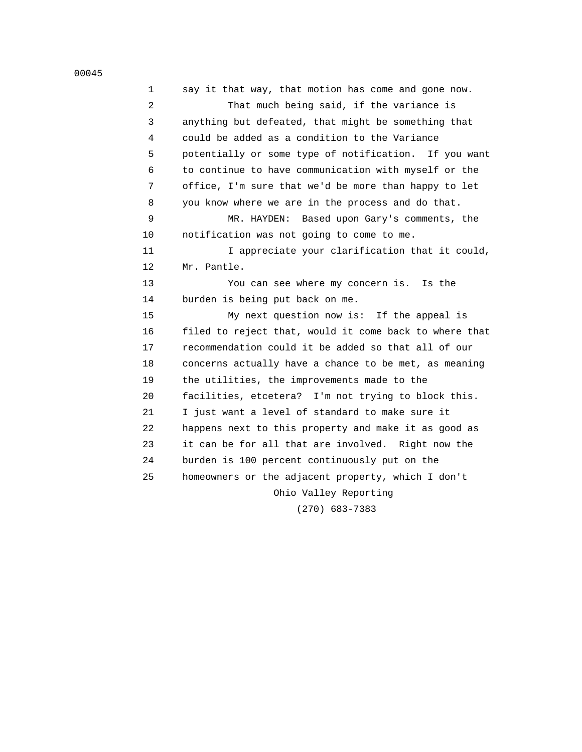| 1  | say it that way, that motion has come and gone now.    |
|----|--------------------------------------------------------|
| 2  | That much being said, if the variance is               |
| 3  | anything but defeated, that might be something that    |
| 4  | could be added as a condition to the Variance          |
| 5  | potentially or some type of notification. If you want  |
| 6  | to continue to have communication with myself or the   |
| 7  | office, I'm sure that we'd be more than happy to let   |
| 8  | you know where we are in the process and do that.      |
| 9  | MR. HAYDEN: Based upon Gary's comments, the            |
| 10 | notification was not going to come to me.              |
| 11 | I appreciate your clarification that it could,         |
| 12 | Mr. Pantle.                                            |
| 13 | You can see where my concern is.<br>Is the             |
| 14 | burden is being put back on me.                        |
| 15 | My next question now is: If the appeal is              |
| 16 | filed to reject that, would it come back to where that |
| 17 | recommendation could it be added so that all of our    |
| 18 | concerns actually have a chance to be met, as meaning  |
| 19 | the utilities, the improvements made to the            |
| 20 | facilities, etcetera? I'm not trying to block this.    |
| 21 | I just want a level of standard to make sure it        |
| 22 | happens next to this property and make it as good as   |
| 23 | it can be for all that are involved. Right now the     |
| 24 | burden is 100 percent continuously put on the          |
| 25 | homeowners or the adjacent property, which I don't     |
|    | Ohio Valley Reporting                                  |
|    |                                                        |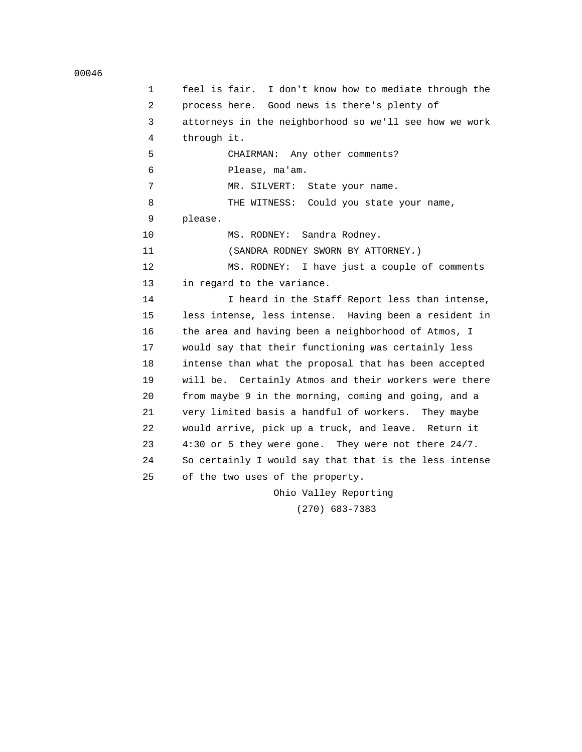```
 00046
```
 1 feel is fair. I don't know how to mediate through the 2 process here. Good news is there's plenty of 3 attorneys in the neighborhood so we'll see how we work 4 through it. 5 CHAIRMAN: Any other comments? 6 Please, ma'am. 7 MR. SILVERT: State your name. 8 THE WITNESS: Could you state your name, 9 please. 10 MS. RODNEY: Sandra Rodney. 11 (SANDRA RODNEY SWORN BY ATTORNEY.) 12 MS. RODNEY: I have just a couple of comments 13 in regard to the variance. 14 I heard in the Staff Report less than intense, 15 less intense, less intense. Having been a resident in 16 the area and having been a neighborhood of Atmos, I 17 would say that their functioning was certainly less 18 intense than what the proposal that has been accepted 19 will be. Certainly Atmos and their workers were there 20 from maybe 9 in the morning, coming and going, and a 21 very limited basis a handful of workers. They maybe 22 would arrive, pick up a truck, and leave. Return it 23 4:30 or 5 they were gone. They were not there 24/7. 24 So certainly I would say that that is the less intense 25 of the two uses of the property. Ohio Valley Reporting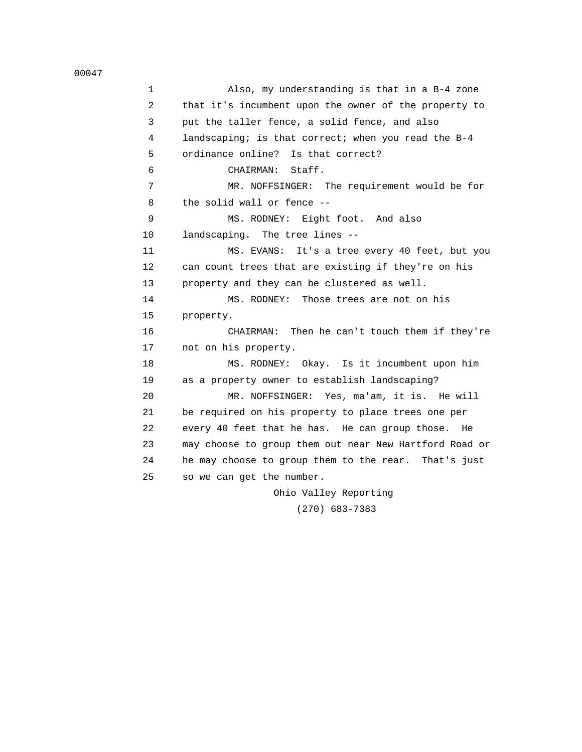1 Also, my understanding is that in a B-4 zone 2 that it's incumbent upon the owner of the property to 3 put the taller fence, a solid fence, and also 4 landscaping; is that correct; when you read the B-4 5 ordinance online? Is that correct? 6 CHAIRMAN: Staff. 7 MR. NOFFSINGER: The requirement would be for 8 the solid wall or fence -- 9 MS. RODNEY: Eight foot. And also 10 landscaping. The tree lines -- 11 MS. EVANS: It's a tree every 40 feet, but you 12 can count trees that are existing if they're on his 13 property and they can be clustered as well. 14 MS. RODNEY: Those trees are not on his 15 property. 16 CHAIRMAN: Then he can't touch them if they're 17 not on his property. 18 MS. RODNEY: Okay. Is it incumbent upon him 19 as a property owner to establish landscaping? 20 MR. NOFFSINGER: Yes, ma'am, it is. He will 21 be required on his property to place trees one per 22 every 40 feet that he has. He can group those. He 23 may choose to group them out near New Hartford Road or 24 he may choose to group them to the rear. That's just 25 so we can get the number.

 Ohio Valley Reporting (270) 683-7383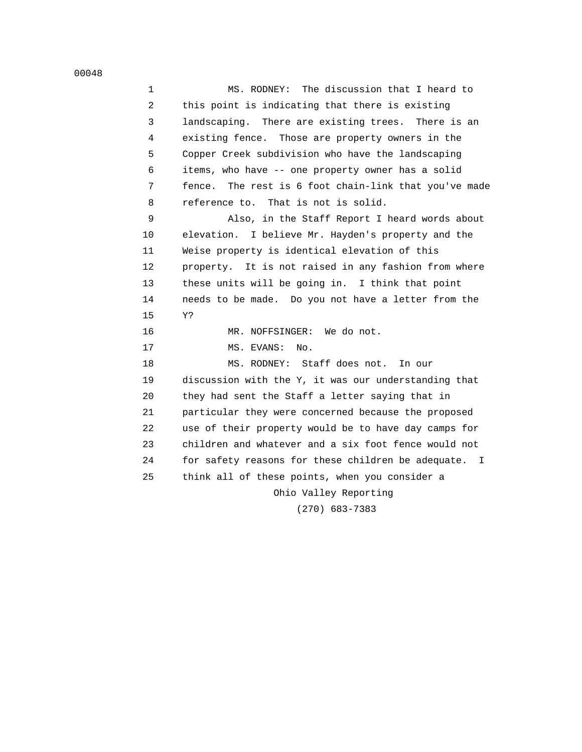1 MS. RODNEY: The discussion that I heard to 2 this point is indicating that there is existing 3 landscaping. There are existing trees. There is an 4 existing fence. Those are property owners in the 5 Copper Creek subdivision who have the landscaping 6 items, who have -- one property owner has a solid 7 fence. The rest is 6 foot chain-link that you've made 8 reference to. That is not is solid. 9 Also, in the Staff Report I heard words about 10 elevation. I believe Mr. Hayden's property and the 11 Weise property is identical elevation of this 12 property. It is not raised in any fashion from where 13 these units will be going in. I think that point 14 needs to be made. Do you not have a letter from the 15 Y? 16 MR. NOFFSINGER: We do not. 17 MS. EVANS: No. 18 MS. RODNEY: Staff does not. In our 19 discussion with the Y, it was our understanding that 20 they had sent the Staff a letter saying that in 21 particular they were concerned because the proposed 22 use of their property would be to have day camps for 23 children and whatever and a six foot fence would not 24 for safety reasons for these children be adequate. I 25 think all of these points, when you consider a Ohio Valley Reporting (270) 683-7383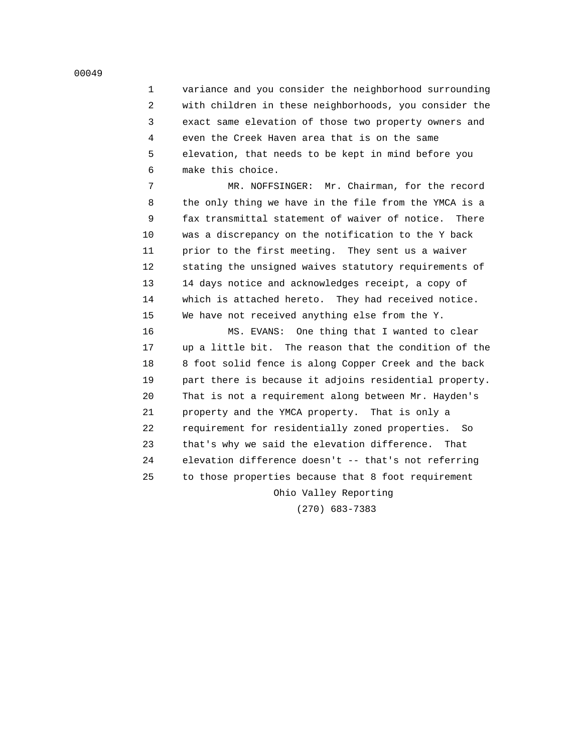1 variance and you consider the neighborhood surrounding 2 with children in these neighborhoods, you consider the 3 exact same elevation of those two property owners and 4 even the Creek Haven area that is on the same 5 elevation, that needs to be kept in mind before you 6 make this choice.

 7 MR. NOFFSINGER: Mr. Chairman, for the record 8 the only thing we have in the file from the YMCA is a 9 fax transmittal statement of waiver of notice. There 10 was a discrepancy on the notification to the Y back 11 prior to the first meeting. They sent us a waiver 12 stating the unsigned waives statutory requirements of 13 14 days notice and acknowledges receipt, a copy of 14 which is attached hereto. They had received notice. 15 We have not received anything else from the Y.

 16 MS. EVANS: One thing that I wanted to clear 17 up a little bit. The reason that the condition of the 18 8 foot solid fence is along Copper Creek and the back 19 part there is because it adjoins residential property. 20 That is not a requirement along between Mr. Hayden's 21 property and the YMCA property. That is only a 22 requirement for residentially zoned properties. So 23 that's why we said the elevation difference. That 24 elevation difference doesn't -- that's not referring 25 to those properties because that 8 foot requirement Ohio Valley Reporting

(270) 683-7383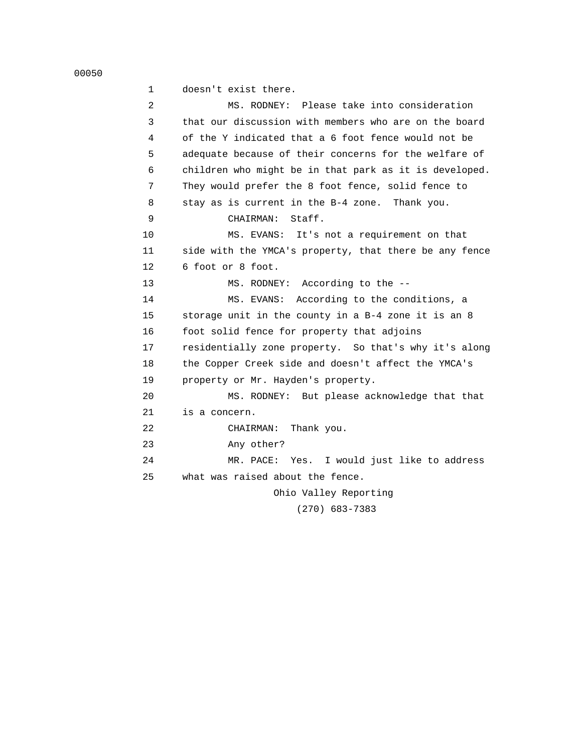```
 00050
```
 1 doesn't exist there. 2 MS. RODNEY: Please take into consideration 3 that our discussion with members who are on the board 4 of the Y indicated that a 6 foot fence would not be 5 adequate because of their concerns for the welfare of 6 children who might be in that park as it is developed. 7 They would prefer the 8 foot fence, solid fence to 8 stay as is current in the B-4 zone. Thank you. 9 CHAIRMAN: Staff. 10 MS. EVANS: It's not a requirement on that 11 side with the YMCA's property, that there be any fence 12 6 foot or 8 foot. 13 MS. RODNEY: According to the -- 14 MS. EVANS: According to the conditions, a 15 storage unit in the county in a B-4 zone it is an 8 16 foot solid fence for property that adjoins 17 residentially zone property. So that's why it's along 18 the Copper Creek side and doesn't affect the YMCA's 19 property or Mr. Hayden's property. 20 MS. RODNEY: But please acknowledge that that 21 is a concern. 22 CHAIRMAN: Thank you. 23 Any other? 24 MR. PACE: Yes. I would just like to address 25 what was raised about the fence. Ohio Valley Reporting (270) 683-7383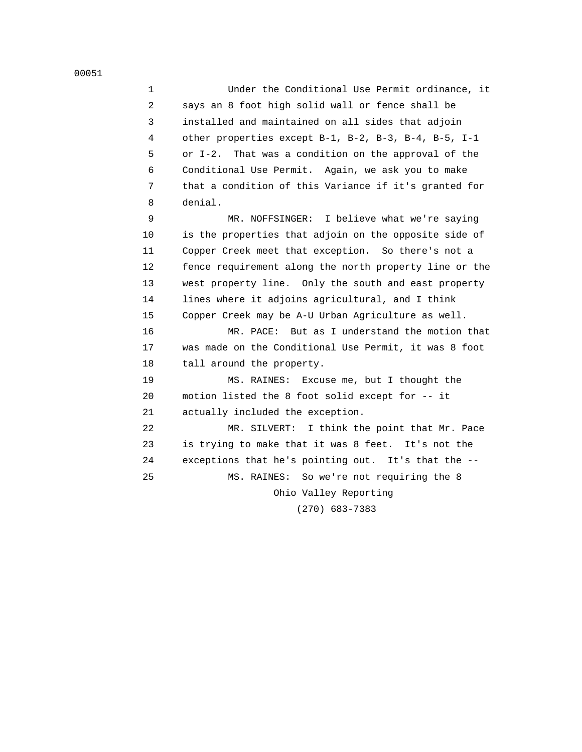1 Under the Conditional Use Permit ordinance, it 2 says an 8 foot high solid wall or fence shall be 3 installed and maintained on all sides that adjoin 4 other properties except B-1, B-2, B-3, B-4, B-5, I-1 5 or I-2. That was a condition on the approval of the 6 Conditional Use Permit. Again, we ask you to make 7 that a condition of this Variance if it's granted for 8 denial.

 9 MR. NOFFSINGER: I believe what we're saying 10 is the properties that adjoin on the opposite side of 11 Copper Creek meet that exception. So there's not a 12 fence requirement along the north property line or the 13 west property line. Only the south and east property 14 lines where it adjoins agricultural, and I think 15 Copper Creek may be A-U Urban Agriculture as well.

 16 MR. PACE: But as I understand the motion that 17 was made on the Conditional Use Permit, it was 8 foot 18 tall around the property.

 19 MS. RAINES: Excuse me, but I thought the 20 motion listed the 8 foot solid except for -- it 21 actually included the exception.

 22 MR. SILVERT: I think the point that Mr. Pace 23 is trying to make that it was 8 feet. It's not the 24 exceptions that he's pointing out. It's that the -- 25 MS. RAINES: So we're not requiring the 8

Ohio Valley Reporting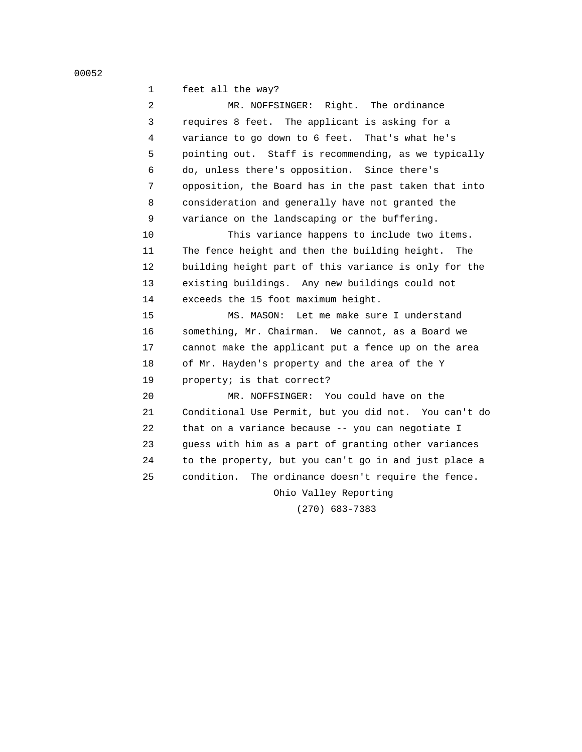1 feet all the way? 2 MR. NOFFSINGER: Right. The ordinance 3 requires 8 feet. The applicant is asking for a 4 variance to go down to 6 feet. That's what he's 5 pointing out. Staff is recommending, as we typically 6 do, unless there's opposition. Since there's 7 opposition, the Board has in the past taken that into 8 consideration and generally have not granted the 9 variance on the landscaping or the buffering. 10 This variance happens to include two items. 11 The fence height and then the building height. The 12 building height part of this variance is only for the 13 existing buildings. Any new buildings could not 14 exceeds the 15 foot maximum height. 15 MS. MASON: Let me make sure I understand 16 something, Mr. Chairman. We cannot, as a Board we 17 cannot make the applicant put a fence up on the area 18 of Mr. Hayden's property and the area of the Y 19 property; is that correct? 20 MR. NOFFSINGER: You could have on the 21 Conditional Use Permit, but you did not. You can't do 22 that on a variance because -- you can negotiate I 23 guess with him as a part of granting other variances 24 to the property, but you can't go in and just place a 25 condition. The ordinance doesn't require the fence.

Ohio Valley Reporting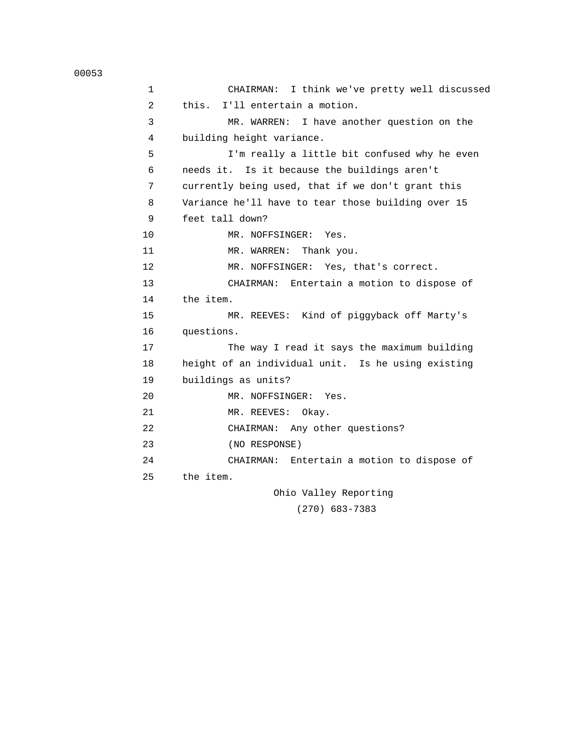1 CHAIRMAN: I think we've pretty well discussed 2 this. I'll entertain a motion. 3 MR. WARREN: I have another question on the 4 building height variance. 5 I'm really a little bit confused why he even 6 needs it. Is it because the buildings aren't 7 currently being used, that if we don't grant this 8 Variance he'll have to tear those building over 15 9 feet tall down? 10 MR. NOFFSINGER: Yes. 11 MR. WARREN: Thank you. 12 MR. NOFFSINGER: Yes, that's correct. 13 CHAIRMAN: Entertain a motion to dispose of 14 the item. 15 MR. REEVES: Kind of piggyback off Marty's 16 questions. 17 The way I read it says the maximum building 18 height of an individual unit. Is he using existing 19 buildings as units? 20 MR. NOFFSINGER: Yes. 21 MR. REEVES: Okay. 22 CHAIRMAN: Any other questions? 23 (NO RESPONSE) 24 CHAIRMAN: Entertain a motion to dispose of 25 the item. Ohio Valley Reporting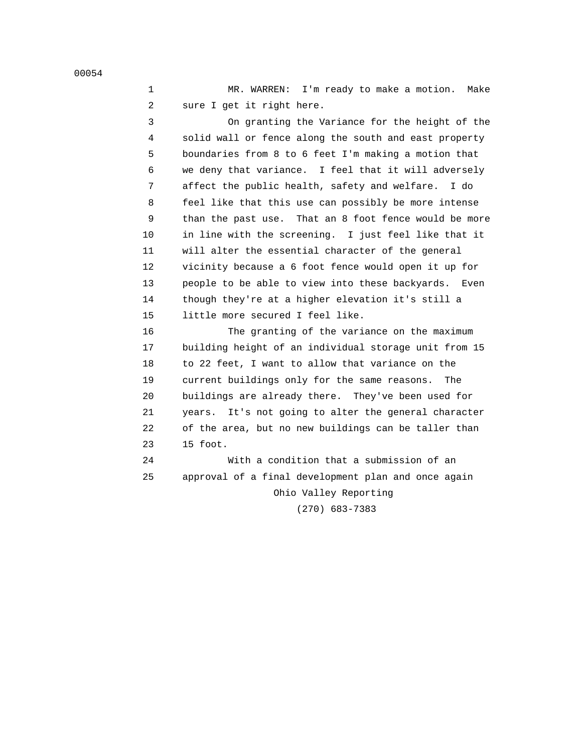1 MR. WARREN: I'm ready to make a motion. Make 2 sure I get it right here.

 3 On granting the Variance for the height of the 4 solid wall or fence along the south and east property 5 boundaries from 8 to 6 feet I'm making a motion that 6 we deny that variance. I feel that it will adversely 7 affect the public health, safety and welfare. I do 8 feel like that this use can possibly be more intense 9 than the past use. That an 8 foot fence would be more 10 in line with the screening. I just feel like that it 11 will alter the essential character of the general 12 vicinity because a 6 foot fence would open it up for 13 people to be able to view into these backyards. Even 14 though they're at a higher elevation it's still a 15 little more secured I feel like.

 16 The granting of the variance on the maximum 17 building height of an individual storage unit from 15 18 to 22 feet, I want to allow that variance on the 19 current buildings only for the same reasons. The 20 buildings are already there. They've been used for 21 years. It's not going to alter the general character 22 of the area, but no new buildings can be taller than 23 15 foot.

 24 With a condition that a submission of an 25 approval of a final development plan and once again Ohio Valley Reporting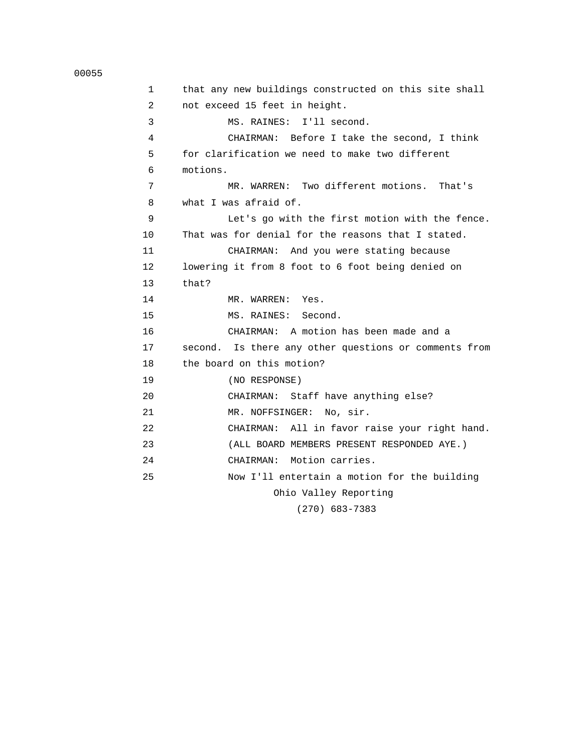1 that any new buildings constructed on this site shall 2 not exceed 15 feet in height. 3 MS. RAINES: I'll second. 4 CHAIRMAN: Before I take the second, I think 5 for clarification we need to make two different 6 motions. 7 MR. WARREN: Two different motions. That's 8 what I was afraid of. 9 Let's go with the first motion with the fence. 10 That was for denial for the reasons that I stated. 11 CHAIRMAN: And you were stating because 12 lowering it from 8 foot to 6 foot being denied on 13 that? 14 MR. WARREN: Yes. 15 MS. RAINES: Second. 16 CHAIRMAN: A motion has been made and a 17 second. Is there any other questions or comments from 18 the board on this motion? 19 (NO RESPONSE) 20 CHAIRMAN: Staff have anything else? 21 MR. NOFFSINGER: No, sir. 22 CHAIRMAN: All in favor raise your right hand. 23 (ALL BOARD MEMBERS PRESENT RESPONDED AYE.) 24 CHAIRMAN: Motion carries. 25 Now I'll entertain a motion for the building Ohio Valley Reporting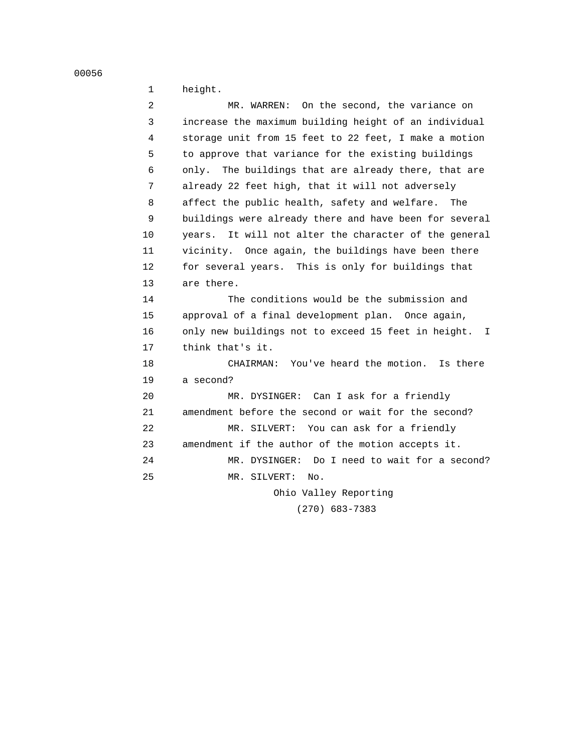```
 00056
```

```
 1 height.
```

| 2  | On the second, the variance on<br>MR. WARREN:             |
|----|-----------------------------------------------------------|
| 3  | increase the maximum building height of an individual     |
| 4  | storage unit from 15 feet to 22 feet, I make a motion     |
| 5  | to approve that variance for the existing buildings       |
| 6  | only. The buildings that are already there, that are      |
| 7  | already 22 feet high, that it will not adversely          |
| 8  | affect the public health, safety and welfare. The         |
| 9  | buildings were already there and have been for several    |
| 10 | years. It will not alter the character of the general     |
| 11 | vicinity. Once again, the buildings have been there       |
| 12 | for several years. This is only for buildings that        |
| 13 | are there.                                                |
| 14 | The conditions would be the submission and                |
| 15 | approval of a final development plan. Once again,         |
| 16 | only new buildings not to exceed 15 feet in height.<br>T. |
| 17 | think that's it.                                          |
| 18 | CHAIRMAN: You've heard the motion. Is there               |
| 19 | a second?                                                 |
| 20 | MR. DYSINGER: Can I ask for a friendly                    |
| 21 | amendment before the second or wait for the second?       |
| 22 | MR. SILVERT: You can ask for a friendly                   |
| 23 | amendment if the author of the motion accepts it.         |
| 24 | MR. DYSINGER: Do I need to wait for a second?             |
| 25 | MR. SILVERT:<br>No.                                       |
|    |                                                           |

 Ohio Valley Reporting (270) 683-7383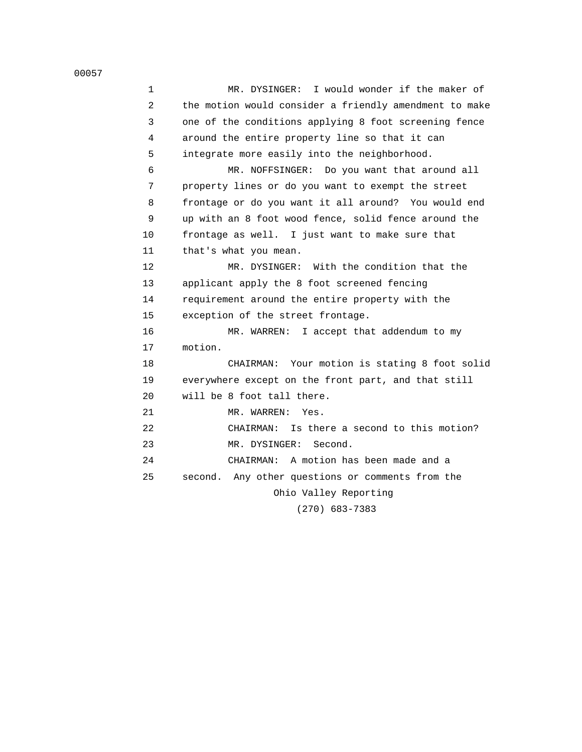| 1  | MR. DYSINGER: I would wonder if the maker of           |
|----|--------------------------------------------------------|
| 2  | the motion would consider a friendly amendment to make |
| 3  | one of the conditions applying 8 foot screening fence  |
| 4  | around the entire property line so that it can         |
| 5  | integrate more easily into the neighborhood.           |
| 6  | MR. NOFFSINGER: Do you want that around all            |
| 7  | property lines or do you want to exempt the street     |
| 8  | frontage or do you want it all around? You would end   |
| 9  | up with an 8 foot wood fence, solid fence around the   |
| 10 | frontage as well. I just want to make sure that        |
| 11 | that's what you mean.                                  |
| 12 | MR. DYSINGER: With the condition that the              |
| 13 | applicant apply the 8 foot screened fencing            |
| 14 | requirement around the entire property with the        |
| 15 | exception of the street frontage.                      |
| 16 | MR. WARREN: I accept that addendum to my               |
| 17 | motion.                                                |
| 18 | CHAIRMAN: Your motion is stating 8 foot solid          |
| 19 | everywhere except on the front part, and that still    |
| 20 | will be 8 foot tall there.                             |
| 21 | MR. WARREN:<br>Yes.                                    |
| 22 | CHAIRMAN: Is there a second to this motion?            |
| 23 | MR. DYSINGER:<br>Second.                               |
| 24 | CHAIRMAN: A motion has been made and a                 |
| 25 | second. Any other questions or comments from the       |
|    | Ohio Valley Reporting                                  |
|    | $(270)$ 683-7383                                       |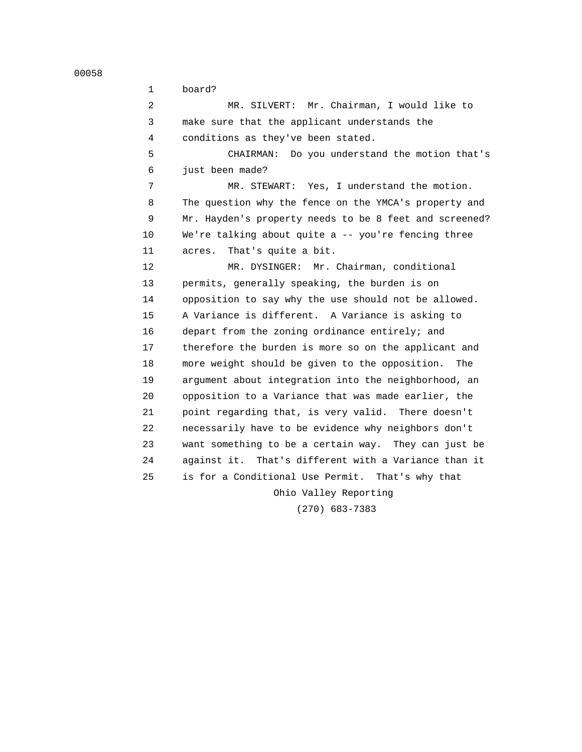1 board? 2 MR. SILVERT: Mr. Chairman, I would like to 3 make sure that the applicant understands the 4 conditions as they've been stated. 5 CHAIRMAN: Do you understand the motion that's 6 just been made? 7 MR. STEWART: Yes, I understand the motion. 8 The question why the fence on the YMCA's property and 9 Mr. Hayden's property needs to be 8 feet and screened? 10 We're talking about quite a -- you're fencing three 11 acres. That's quite a bit. 12 MR. DYSINGER: Mr. Chairman, conditional 13 permits, generally speaking, the burden is on 14 opposition to say why the use should not be allowed. 15 A Variance is different. A Variance is asking to 16 depart from the zoning ordinance entirely; and 17 therefore the burden is more so on the applicant and 18 more weight should be given to the opposition. The 19 argument about integration into the neighborhood, an 20 opposition to a Variance that was made earlier, the 21 point regarding that, is very valid. There doesn't 22 necessarily have to be evidence why neighbors don't 23 want something to be a certain way. They can just be 24 against it. That's different with a Variance than it 25 is for a Conditional Use Permit. That's why that Ohio Valley Reporting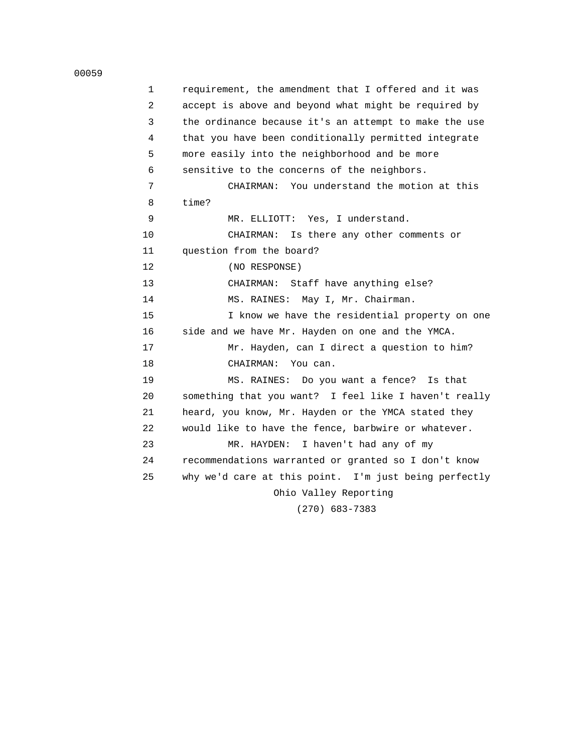```
 00059
```

| 1  | requirement, the amendment that I offered and it was  |
|----|-------------------------------------------------------|
| 2  | accept is above and beyond what might be required by  |
| 3  | the ordinance because it's an attempt to make the use |
| 4  | that you have been conditionally permitted integrate  |
| 5  | more easily into the neighborhood and be more         |
| 6  | sensitive to the concerns of the neighbors.           |
| 7  | CHAIRMAN: You understand the motion at this           |
| 8  | time?                                                 |
| 9  | MR. ELLIOTT: Yes, I understand.                       |
| 10 | CHAIRMAN: Is there any other comments or              |
| 11 | question from the board?                              |
| 12 | (NO RESPONSE)                                         |
| 13 | CHAIRMAN: Staff have anything else?                   |
| 14 | MS. RAINES: May I, Mr. Chairman.                      |
| 15 | I know we have the residential property on one        |
| 16 | side and we have Mr. Hayden on one and the YMCA.      |
| 17 | Mr. Hayden, can I direct a question to him?           |
| 18 | CHAIRMAN: You can.                                    |
| 19 | MS. RAINES: Do you want a fence? Is that              |
| 20 | something that you want? I feel like I haven't really |
| 21 | heard, you know, Mr. Hayden or the YMCA stated they   |
| 22 | would like to have the fence, barbwire or whatever.   |
| 23 | I haven't had any of my<br>MR. HAYDEN:                |
| 24 | recommendations warranted or granted so I don't know  |
| 25 | why we'd care at this point. I'm just being perfectly |
|    | Ohio Valley Reporting                                 |
|    | $(270)$ 683-7383                                      |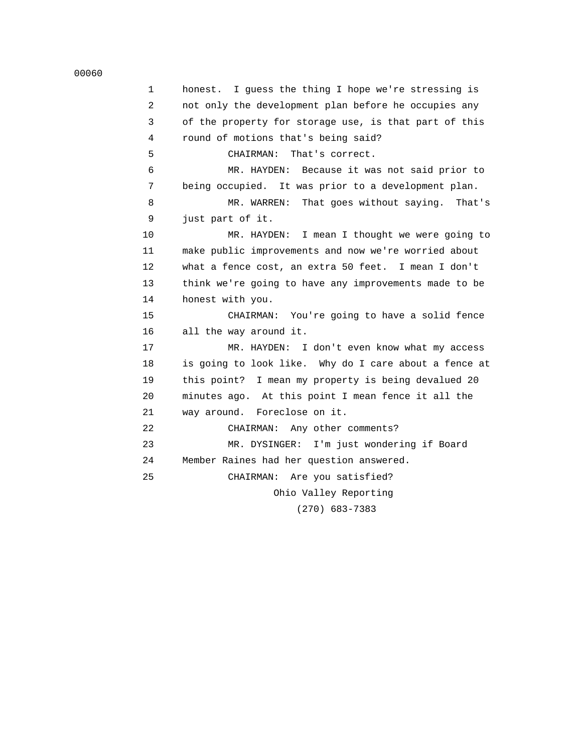```
 00060
```
 1 honest. I guess the thing I hope we're stressing is 2 not only the development plan before he occupies any 3 of the property for storage use, is that part of this 4 round of motions that's being said? 5 CHAIRMAN: That's correct. 6 MR. HAYDEN: Because it was not said prior to 7 being occupied. It was prior to a development plan. 8 MR. WARREN: That goes without saying. That's 9 just part of it. 10 MR. HAYDEN: I mean I thought we were going to 11 make public improvements and now we're worried about 12 what a fence cost, an extra 50 feet. I mean I don't 13 think we're going to have any improvements made to be 14 honest with you. 15 CHAIRMAN: You're going to have a solid fence 16 all the way around it. 17 MR. HAYDEN: I don't even know what my access 18 is going to look like. Why do I care about a fence at 19 this point? I mean my property is being devalued 20 20 minutes ago. At this point I mean fence it all the 21 way around. Foreclose on it. 22 CHAIRMAN: Any other comments? 23 MR. DYSINGER: I'm just wondering if Board 24 Member Raines had her question answered. 25 CHAIRMAN: Are you satisfied? Ohio Valley Reporting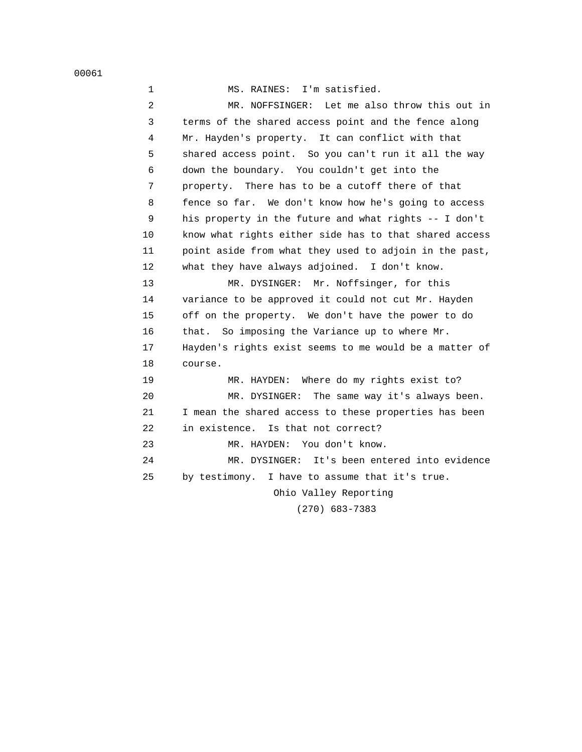|  | MS. RAINES: | I'm satisfied. |
|--|-------------|----------------|
|  |             |                |

 2 MR. NOFFSINGER: Let me also throw this out in 3 terms of the shared access point and the fence along 4 Mr. Hayden's property. It can conflict with that 5 shared access point. So you can't run it all the way 6 down the boundary. You couldn't get into the 7 property. There has to be a cutoff there of that 8 fence so far. We don't know how he's going to access 9 his property in the future and what rights -- I don't 10 know what rights either side has to that shared access 11 point aside from what they used to adjoin in the past, 12 what they have always adjoined. I don't know. 13 MR. DYSINGER: Mr. Noffsinger, for this 14 variance to be approved it could not cut Mr. Hayden 15 off on the property. We don't have the power to do 16 that. So imposing the Variance up to where Mr.

 17 Hayden's rights exist seems to me would be a matter of 18 course.

 19 MR. HAYDEN: Where do my rights exist to? 20 MR. DYSINGER: The same way it's always been. 21 I mean the shared access to these properties has been 22 in existence. Is that not correct? 23 MR. HAYDEN: You don't know. 24 MR. DYSINGER: It's been entered into evidence 25 by testimony. I have to assume that it's true. Ohio Valley Reporting

(270) 683-7383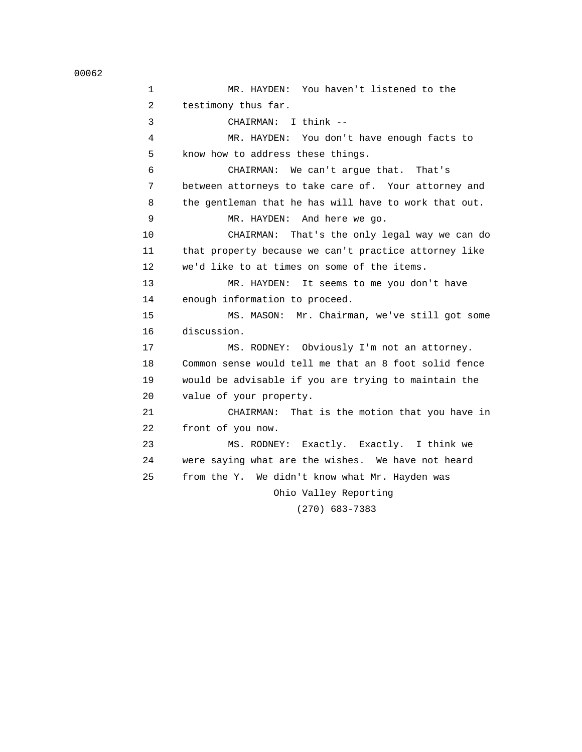1 MR. HAYDEN: You haven't listened to the 2 testimony thus far. 3 CHAIRMAN: I think -- 4 MR. HAYDEN: You don't have enough facts to 5 know how to address these things. 6 CHAIRMAN: We can't argue that. That's 7 between attorneys to take care of. Your attorney and 8 the gentleman that he has will have to work that out. 9 MR. HAYDEN: And here we go. 10 CHAIRMAN: That's the only legal way we can do 11 that property because we can't practice attorney like 12 we'd like to at times on some of the items. 13 MR. HAYDEN: It seems to me you don't have 14 enough information to proceed. 15 MS. MASON: Mr. Chairman, we've still got some 16 discussion. 17 MS. RODNEY: Obviously I'm not an attorney. 18 Common sense would tell me that an 8 foot solid fence 19 would be advisable if you are trying to maintain the 20 value of your property. 21 CHAIRMAN: That is the motion that you have in 22 front of you now. 23 MS. RODNEY: Exactly. Exactly. I think we 24 were saying what are the wishes. We have not heard 25 from the Y. We didn't know what Mr. Hayden was Ohio Valley Reporting (270) 683-7383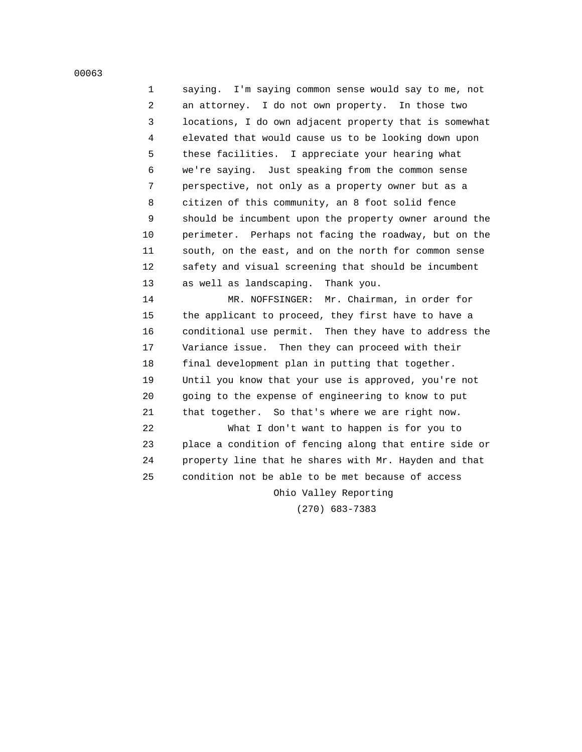1 saying. I'm saying common sense would say to me, not 2 an attorney. I do not own property. In those two 3 locations, I do own adjacent property that is somewhat 4 elevated that would cause us to be looking down upon 5 these facilities. I appreciate your hearing what 6 we're saying. Just speaking from the common sense 7 perspective, not only as a property owner but as a 8 citizen of this community, an 8 foot solid fence 9 should be incumbent upon the property owner around the 10 perimeter. Perhaps not facing the roadway, but on the 11 south, on the east, and on the north for common sense 12 safety and visual screening that should be incumbent 13 as well as landscaping. Thank you.

 14 MR. NOFFSINGER: Mr. Chairman, in order for 15 the applicant to proceed, they first have to have a 16 conditional use permit. Then they have to address the 17 Variance issue. Then they can proceed with their 18 final development plan in putting that together. 19 Until you know that your use is approved, you're not 20 going to the expense of engineering to know to put 21 that together. So that's where we are right now.

 22 What I don't want to happen is for you to 23 place a condition of fencing along that entire side or 24 property line that he shares with Mr. Hayden and that 25 condition not be able to be met because of access

Ohio Valley Reporting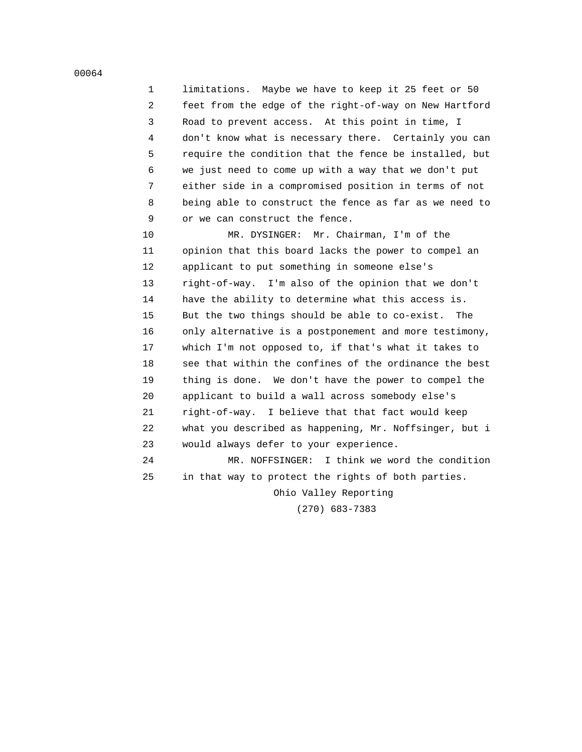1 limitations. Maybe we have to keep it 25 feet or 50 2 feet from the edge of the right-of-way on New Hartford 3 Road to prevent access. At this point in time, I 4 don't know what is necessary there. Certainly you can 5 require the condition that the fence be installed, but 6 we just need to come up with a way that we don't put 7 either side in a compromised position in terms of not 8 being able to construct the fence as far as we need to 9 or we can construct the fence.

 10 MR. DYSINGER: Mr. Chairman, I'm of the 11 opinion that this board lacks the power to compel an 12 applicant to put something in someone else's 13 right-of-way. I'm also of the opinion that we don't 14 have the ability to determine what this access is. 15 But the two things should be able to co-exist. The 16 only alternative is a postponement and more testimony, 17 which I'm not opposed to, if that's what it takes to 18 see that within the confines of the ordinance the best 19 thing is done. We don't have the power to compel the 20 applicant to build a wall across somebody else's 21 right-of-way. I believe that that fact would keep 22 what you described as happening, Mr. Noffsinger, but i 23 would always defer to your experience.

 24 MR. NOFFSINGER: I think we word the condition 25 in that way to protect the rights of both parties.

Ohio Valley Reporting

(270) 683-7383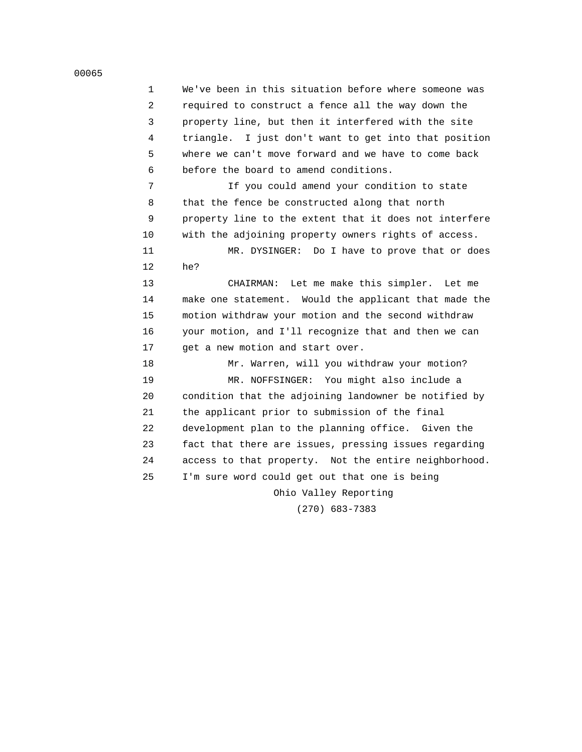1 We've been in this situation before where someone was 2 required to construct a fence all the way down the 3 property line, but then it interfered with the site 4 triangle. I just don't want to get into that position 5 where we can't move forward and we have to come back 6 before the board to amend conditions. 7 If you could amend your condition to state 8 that the fence be constructed along that north 9 property line to the extent that it does not interfere 10 with the adjoining property owners rights of access. 11 MR. DYSINGER: Do I have to prove that or does 12 he? 13 CHAIRMAN: Let me make this simpler. Let me 14 make one statement. Would the applicant that made the 15 motion withdraw your motion and the second withdraw 16 your motion, and I'll recognize that and then we can 17 get a new motion and start over. 18 Mr. Warren, will you withdraw your motion? 19 MR. NOFFSINGER: You might also include a 20 condition that the adjoining landowner be notified by 21 the applicant prior to submission of the final 22 development plan to the planning office. Given the 23 fact that there are issues, pressing issues regarding 24 access to that property. Not the entire neighborhood. 25 I'm sure word could get out that one is being Ohio Valley Reporting (270) 683-7383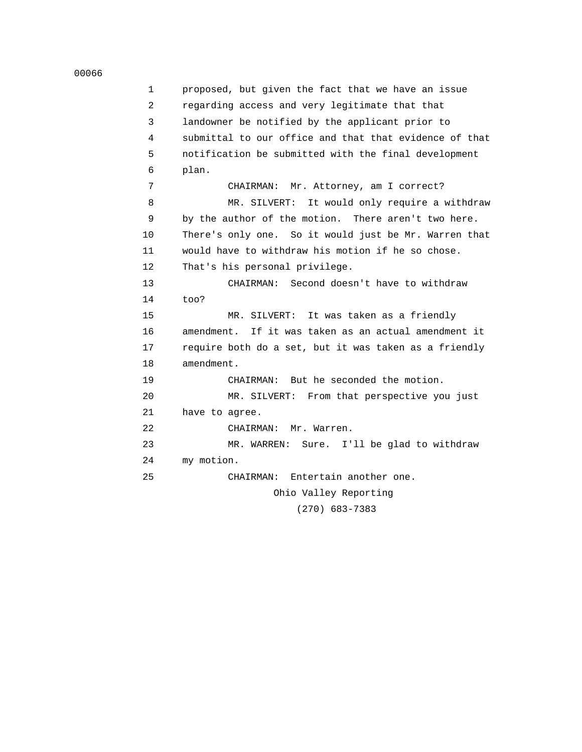```
 00066
```
 1 proposed, but given the fact that we have an issue 2 regarding access and very legitimate that that 3 landowner be notified by the applicant prior to 4 submittal to our office and that that evidence of that 5 notification be submitted with the final development 6 plan. 7 CHAIRMAN: Mr. Attorney, am I correct? 8 MR. SILVERT: It would only require a withdraw 9 by the author of the motion. There aren't two here. 10 There's only one. So it would just be Mr. Warren that 11 would have to withdraw his motion if he so chose. 12 That's his personal privilege. 13 CHAIRMAN: Second doesn't have to withdraw 14 too? 15 MR. SILVERT: It was taken as a friendly 16 amendment. If it was taken as an actual amendment it 17 require both do a set, but it was taken as a friendly 18 amendment. 19 CHAIRMAN: But he seconded the motion. 20 MR. SILVERT: From that perspective you just 21 have to agree. 22 CHAIRMAN: Mr. Warren. 23 MR. WARREN: Sure. I'll be glad to withdraw 24 my motion. 25 CHAIRMAN: Entertain another one. Ohio Valley Reporting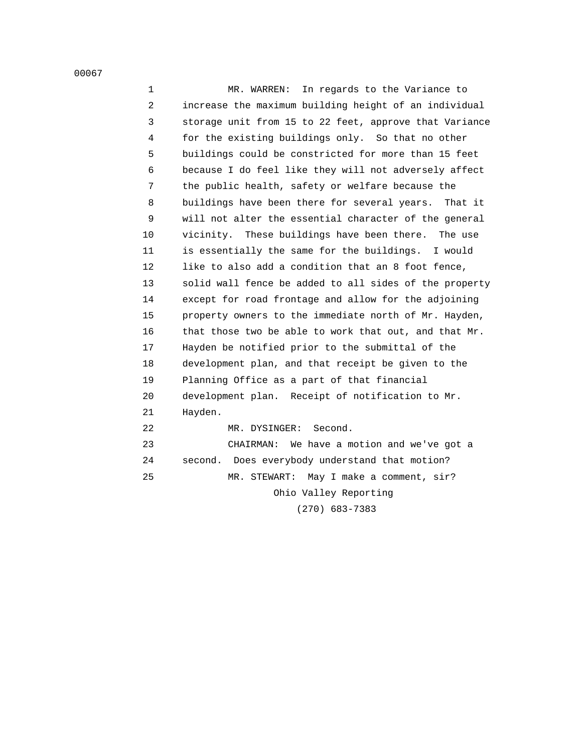1 MR. WARREN: In regards to the Variance to 2 increase the maximum building height of an individual 3 storage unit from 15 to 22 feet, approve that Variance 4 for the existing buildings only. So that no other 5 buildings could be constricted for more than 15 feet 6 because I do feel like they will not adversely affect 7 the public health, safety or welfare because the 8 buildings have been there for several years. That it 9 will not alter the essential character of the general 10 vicinity. These buildings have been there. The use 11 is essentially the same for the buildings. I would 12 like to also add a condition that an 8 foot fence, 13 solid wall fence be added to all sides of the property 14 except for road frontage and allow for the adjoining 15 property owners to the immediate north of Mr. Hayden, 16 that those two be able to work that out, and that Mr. 17 Hayden be notified prior to the submittal of the 18 development plan, and that receipt be given to the 19 Planning Office as a part of that financial 20 development plan. Receipt of notification to Mr. 21 Hayden. 22 MR. DYSINGER: Second. 23 CHAIRMAN: We have a motion and we've got a 24 second. Does everybody understand that motion? 25 MR. STEWART: May I make a comment, sir? Ohio Valley Reporting (270) 683-7383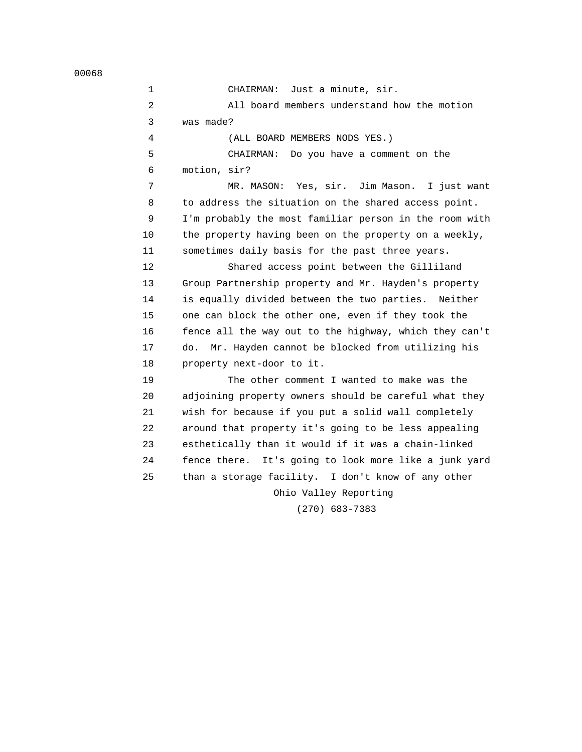1 CHAIRMAN: Just a minute, sir. 2 All board members understand how the motion 3 was made? 4 (ALL BOARD MEMBERS NODS YES.) 5 CHAIRMAN: Do you have a comment on the 6 motion, sir? 7 MR. MASON: Yes, sir. Jim Mason. I just want 8 to address the situation on the shared access point. 9 I'm probably the most familiar person in the room with 10 the property having been on the property on a weekly, 11 sometimes daily basis for the past three years. 12 Shared access point between the Gilliland 13 Group Partnership property and Mr. Hayden's property 14 is equally divided between the two parties. Neither 15 one can block the other one, even if they took the 16 fence all the way out to the highway, which they can't 17 do. Mr. Hayden cannot be blocked from utilizing his 18 property next-door to it. 19 The other comment I wanted to make was the 20 adjoining property owners should be careful what they 21 wish for because if you put a solid wall completely 22 around that property it's going to be less appealing 23 esthetically than it would if it was a chain-linked 24 fence there. It's going to look more like a junk yard 25 than a storage facility. I don't know of any other Ohio Valley Reporting (270) 683-7383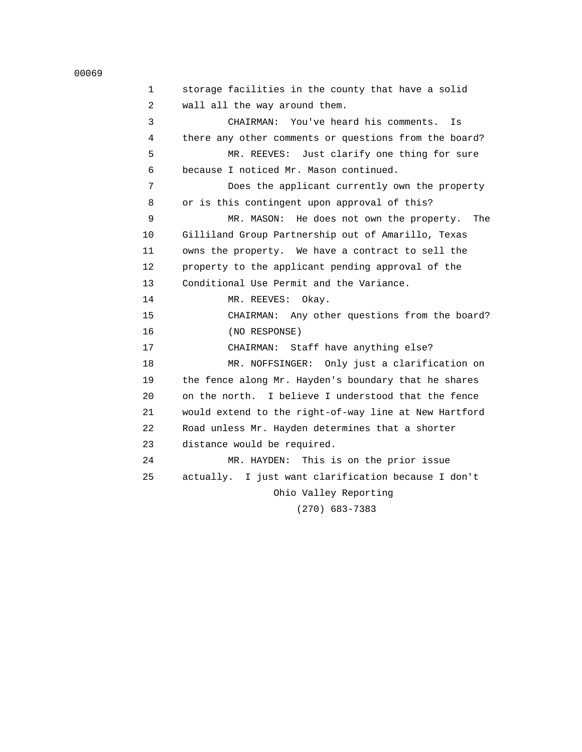```
 00069
```

| 1  | storage facilities in the county that have a solid    |
|----|-------------------------------------------------------|
| 2  | wall all the way around them.                         |
| 3  | CHAIRMAN: You've heard his comments.<br>Is            |
| 4  | there any other comments or questions from the board? |
| 5  | MR. REEVES: Just clarify one thing for sure           |
| 6  | because I noticed Mr. Mason continued.                |
| 7  | Does the applicant currently own the property         |
| 8  | or is this contingent upon approval of this?          |
| 9  | MR. MASON: He does not own the property.<br>The       |
| 10 | Gilliland Group Partnership out of Amarillo, Texas    |
| 11 | owns the property. We have a contract to sell the     |
| 12 | property to the applicant pending approval of the     |
| 13 | Conditional Use Permit and the Variance.              |
| 14 | MR. REEVES:<br>Okay.                                  |
| 15 | CHAIRMAN: Any other questions from the board?         |
| 16 | (NO RESPONSE)                                         |
| 17 | CHAIRMAN: Staff have anything else?                   |
| 18 | MR. NOFFSINGER: Only just a clarification on          |
| 19 | the fence along Mr. Hayden's boundary that he shares  |
| 20 | on the north. I believe I understood that the fence   |
| 21 | would extend to the right-of-way line at New Hartford |
| 22 | Road unless Mr. Hayden determines that a shorter      |
| 23 | distance would be required.                           |
| 24 | MR. HAYDEN: This is on the prior issue                |
| 25 | actually. I just want clarification because I don't   |
|    | Ohio Valley Reporting                                 |
|    | $(270)$ $(02.7202)$                                   |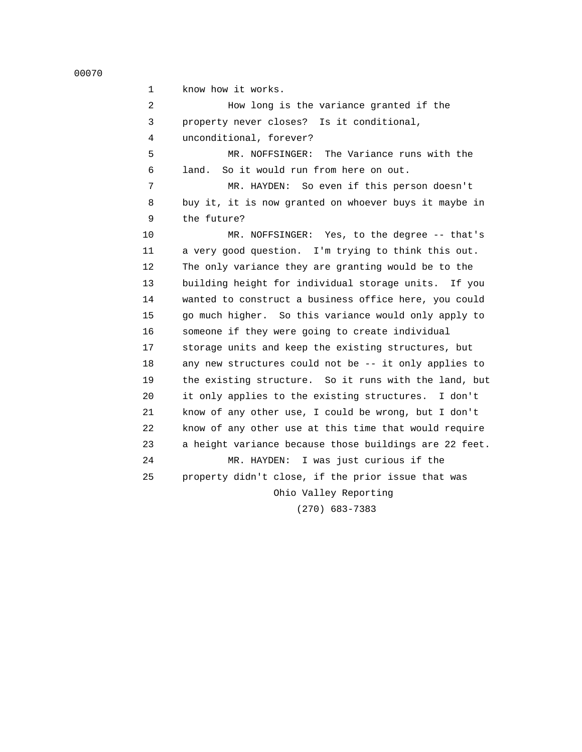1 know how it works. 2 How long is the variance granted if the 3 property never closes? Is it conditional, 4 unconditional, forever? 5 MR. NOFFSINGER: The Variance runs with the 6 land. So it would run from here on out. 7 MR. HAYDEN: So even if this person doesn't 8 buy it, it is now granted on whoever buys it maybe in 9 the future? 10 MR. NOFFSINGER: Yes, to the degree -- that's 11 a very good question. I'm trying to think this out. 12 The only variance they are granting would be to the 13 building height for individual storage units. If you 14 wanted to construct a business office here, you could 15 go much higher. So this variance would only apply to 16 someone if they were going to create individual 17 storage units and keep the existing structures, but 18 any new structures could not be -- it only applies to 19 the existing structure. So it runs with the land, but 20 it only applies to the existing structures. I don't 21 know of any other use, I could be wrong, but I don't 22 know of any other use at this time that would require 23 a height variance because those buildings are 22 feet. 24 MR. HAYDEN: I was just curious if the 25 property didn't close, if the prior issue that was Ohio Valley Reporting (270) 683-7383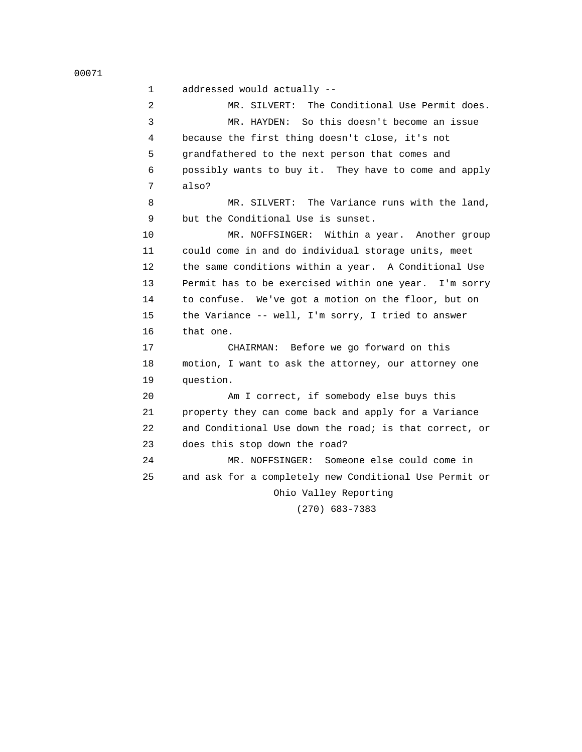1 addressed would actually --

 2 MR. SILVERT: The Conditional Use Permit does. 3 MR. HAYDEN: So this doesn't become an issue 4 because the first thing doesn't close, it's not 5 grandfathered to the next person that comes and 6 possibly wants to buy it. They have to come and apply 7 also?

 8 MR. SILVERT: The Variance runs with the land, 9 but the Conditional Use is sunset.

10 MR. NOFFSINGER: Within a year. Another group 11 could come in and do individual storage units, meet 12 the same conditions within a year. A Conditional Use 13 Permit has to be exercised within one year. I'm sorry 14 to confuse. We've got a motion on the floor, but on 15 the Variance -- well, I'm sorry, I tried to answer 16 that one.

 17 CHAIRMAN: Before we go forward on this 18 motion, I want to ask the attorney, our attorney one 19 question.

 20 Am I correct, if somebody else buys this 21 property they can come back and apply for a Variance 22 and Conditional Use down the road; is that correct, or 23 does this stop down the road?

 24 MR. NOFFSINGER: Someone else could come in 25 and ask for a completely new Conditional Use Permit or Ohio Valley Reporting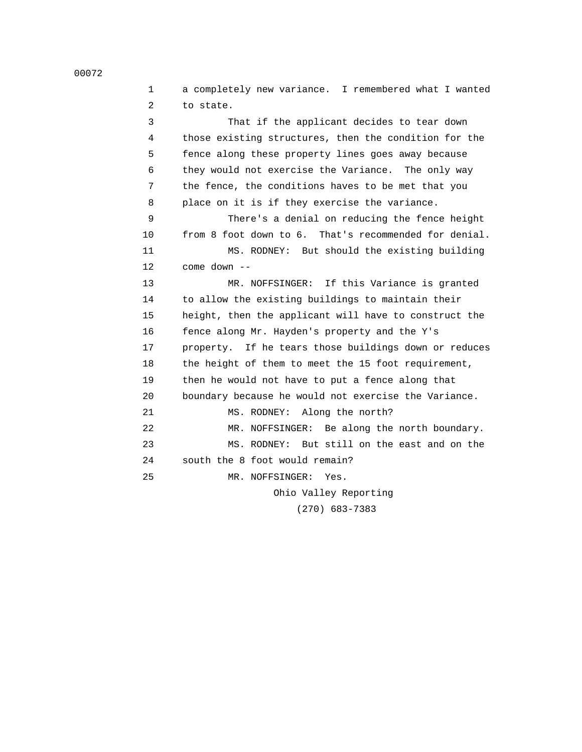| $\mathbf{1}$ | a completely new variance. I remembered what I wanted |
|--------------|-------------------------------------------------------|
| 2            | to state.                                             |
| 3            | That if the applicant decides to tear down            |
| 4            | those existing structures, then the condition for the |
| 5            | fence along these property lines goes away because    |
| 6            | they would not exercise the Variance. The only way    |
| 7            | the fence, the conditions haves to be met that you    |
| 8            | place on it is if they exercise the variance.         |
| 9            | There's a denial on reducing the fence height         |
| 10           | from 8 foot down to 6. That's recommended for denial. |
| 11           | MS. RODNEY: But should the existing building          |
| $12 \,$      | $come down --$                                        |
| 13           | MR. NOFFSINGER: If this Variance is granted           |
| 14           | to allow the existing buildings to maintain their     |
| 15           | height, then the applicant will have to construct the |
| 16           | fence along Mr. Hayden's property and the Y's         |
| 17           | property. If he tears those buildings down or reduces |
| 18           | the height of them to meet the 15 foot requirement,   |
| 19           | then he would not have to put a fence along that      |
| 20           | boundary because he would not exercise the Variance.  |
| 21           | MS. RODNEY: Along the north?                          |
| 22           | MR. NOFFSINGER: Be along the north boundary.          |
| 23           | MS. RODNEY: But still on the east and on the          |
| 24           | south the 8 foot would remain?                        |
| 25           | MR. NOFFSINGER:<br>Yes.                               |
|              | Ohio Valley Reporting                                 |

(270) 683-7383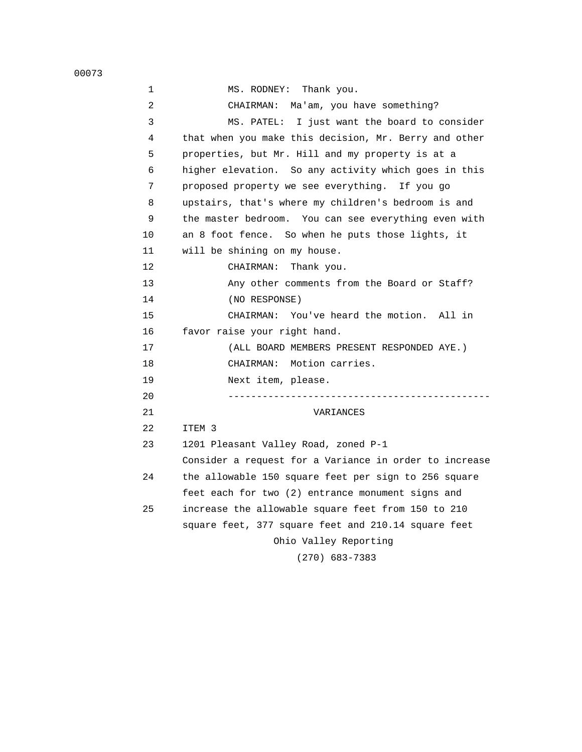00073

| 1  | MS. RODNEY:<br>Thank you.                              |
|----|--------------------------------------------------------|
| 2  | CHAIRMAN: Ma'am, you have something?                   |
| 3  | I just want the board to consider<br>MS. PATEL:        |
| 4  | that when you make this decision, Mr. Berry and other  |
| 5  | properties, but Mr. Hill and my property is at a       |
| 6  | higher elevation. So any activity which goes in this   |
| 7  | proposed property we see everything. If you go         |
| 8  | upstairs, that's where my children's bedroom is and    |
| 9  | the master bedroom. You can see everything even with   |
| 10 | an 8 foot fence. So when he puts those lights, it      |
| 11 | will be shining on my house.                           |
| 12 | CHAIRMAN:<br>Thank you.                                |
| 13 | Any other comments from the Board or Staff?            |
| 14 | (NO RESPONSE)                                          |
| 15 | CHAIRMAN: You've heard the motion. All in              |
| 16 | favor raise your right hand.                           |
| 17 | (ALL BOARD MEMBERS PRESENT RESPONDED AYE.)             |
| 18 | Motion carries.<br>CHAIRMAN:                           |
| 19 | Next item, please.                                     |
| 20 |                                                        |
| 21 | VARIANCES                                              |
| 22 | ITEM 3                                                 |
| 23 | 1201 Pleasant Valley Road, zoned P-1                   |
|    | Consider a request for a Variance in order to increase |
| 24 | the allowable 150 square feet per sign to 256 square   |
|    | feet each for two (2) entrance monument signs and      |
| 25 | increase the allowable square feet from 150 to 210     |
|    | square feet, 377 square feet and 210.14 square feet    |
|    | Ohio Valley Reporting                                  |
|    | $(270)$ 683-7383                                       |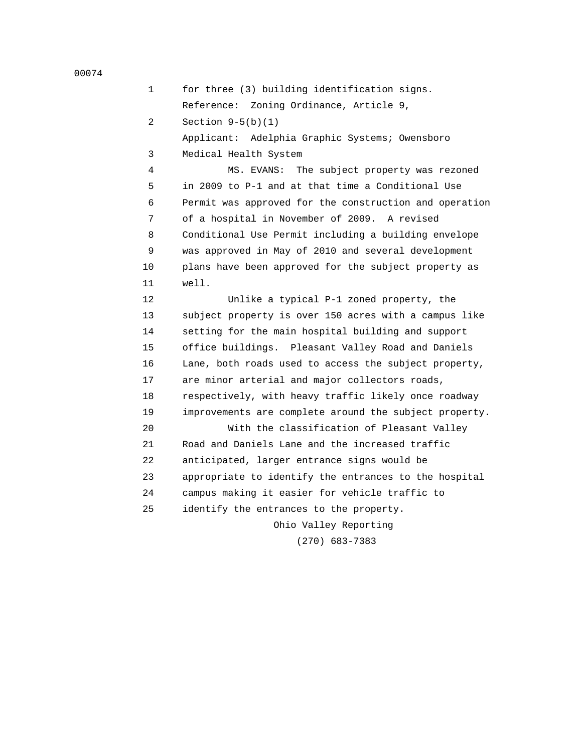1 for three (3) building identification signs. Reference: Zoning Ordinance, Article 9, 2 Section 9-5(b)(1) Applicant: Adelphia Graphic Systems; Owensboro 3 Medical Health System 4 MS. EVANS: The subject property was rezoned

 5 in 2009 to P-1 and at that time a Conditional Use 6 Permit was approved for the construction and operation 7 of a hospital in November of 2009. A revised 8 Conditional Use Permit including a building envelope 9 was approved in May of 2010 and several development 10 plans have been approved for the subject property as 11 well.

 12 Unlike a typical P-1 zoned property, the 13 subject property is over 150 acres with a campus like 14 setting for the main hospital building and support 15 office buildings. Pleasant Valley Road and Daniels 16 Lane, both roads used to access the subject property, 17 are minor arterial and major collectors roads, 18 respectively, with heavy traffic likely once roadway 19 improvements are complete around the subject property.

 20 With the classification of Pleasant Valley 21 Road and Daniels Lane and the increased traffic 22 anticipated, larger entrance signs would be 23 appropriate to identify the entrances to the hospital 24 campus making it easier for vehicle traffic to 25 identify the entrances to the property.

> Ohio Valley Reporting (270) 683-7383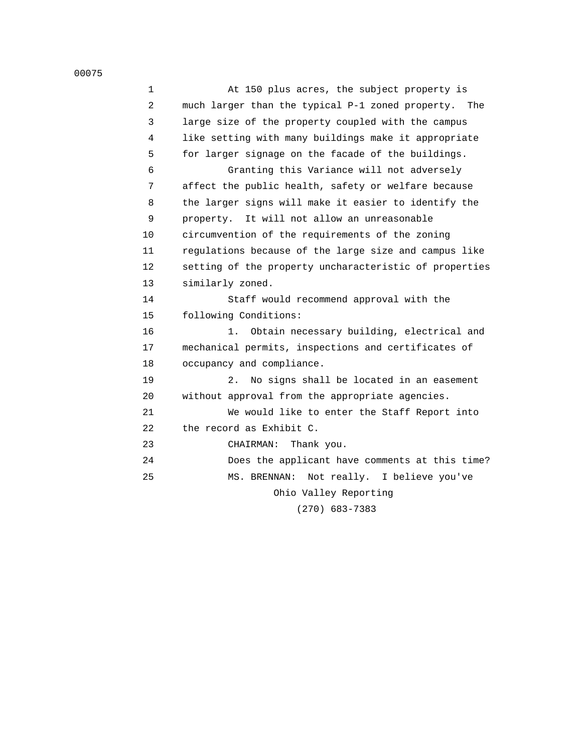| $\mathbf 1$ | At 150 plus acres, the subject property is              |
|-------------|---------------------------------------------------------|
| 2           | much larger than the typical P-1 zoned property.<br>The |
| 3           | large size of the property coupled with the campus      |
| 4           | like setting with many buildings make it appropriate    |
| 5           | for larger signage on the facade of the buildings.      |
| 6           | Granting this Variance will not adversely               |
| 7           | affect the public health, safety or welfare because     |
| 8           | the larger signs will make it easier to identify the    |
| 9           | property. It will not allow an unreasonable             |
| 10          | circumvention of the requirements of the zoning         |
| 11          | regulations because of the large size and campus like   |
| 12          | setting of the property uncharacteristic of properties  |
| 13          | similarly zoned.                                        |
| 14          | Staff would recommend approval with the                 |
| 15          | following Conditions:                                   |
| 16          | Obtain necessary building, electrical and<br>1.         |
| 17          | mechanical permits, inspections and certificates of     |
| 18          | occupancy and compliance.                               |
| 19          | No signs shall be located in an easement<br>2.          |
| 20          | without approval from the appropriate agencies.         |
| 21          | We would like to enter the Staff Report into            |
| 22          | the record as Exhibit C.                                |
| 23          | Thank you.<br>CHAIRMAN:                                 |
| 24          | Does the applicant have comments at this time?          |
| 25          | MS. BRENNAN:<br>Not really. I believe you've            |
|             | Ohio Valley Reporting                                   |
|             |                                                         |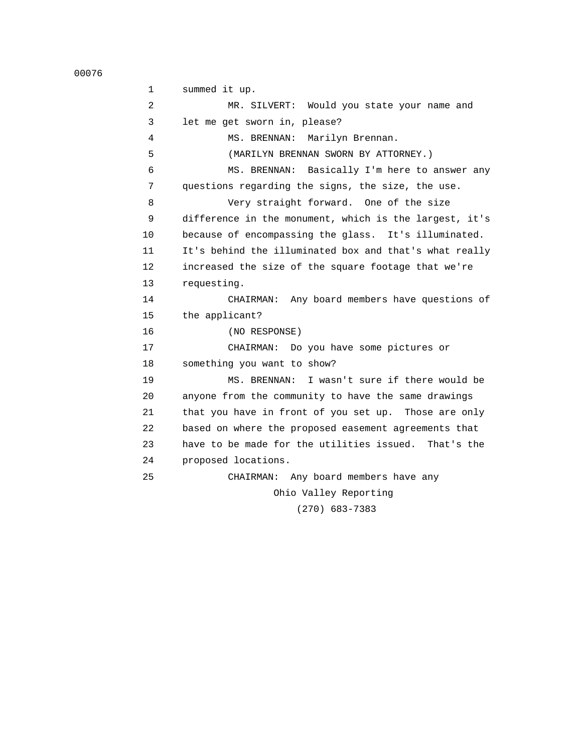00076

 1 summed it up. 2 MR. SILVERT: Would you state your name and 3 let me get sworn in, please? 4 MS. BRENNAN: Marilyn Brennan. 5 (MARILYN BRENNAN SWORN BY ATTORNEY.) 6 MS. BRENNAN: Basically I'm here to answer any 7 questions regarding the signs, the size, the use. 8 Very straight forward. One of the size 9 difference in the monument, which is the largest, it's 10 because of encompassing the glass. It's illuminated. 11 It's behind the illuminated box and that's what really 12 increased the size of the square footage that we're 13 requesting. 14 CHAIRMAN: Any board members have questions of 15 the applicant? 16 (NO RESPONSE) 17 CHAIRMAN: Do you have some pictures or 18 something you want to show? 19 MS. BRENNAN: I wasn't sure if there would be 20 anyone from the community to have the same drawings 21 that you have in front of you set up. Those are only 22 based on where the proposed easement agreements that 23 have to be made for the utilities issued. That's the 24 proposed locations. 25 CHAIRMAN: Any board members have any Ohio Valley Reporting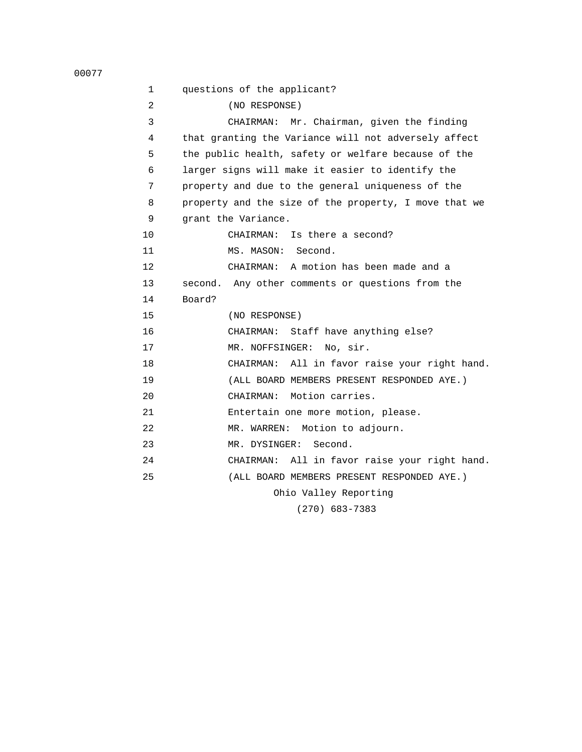| 1  | questions of the applicant?                           |
|----|-------------------------------------------------------|
| 2  | (NO RESPONSE)                                         |
| 3  | CHAIRMAN: Mr. Chairman, given the finding             |
| 4  | that granting the Variance will not adversely affect  |
| 5  | the public health, safety or welfare because of the   |
| 6  | larger signs will make it easier to identify the      |
| 7  | property and due to the general uniqueness of the     |
| 8  | property and the size of the property, I move that we |
| 9  | grant the Variance.                                   |
| 10 | CHAIRMAN: Is there a second?                          |
| 11 | MS. MASON: Second.                                    |
| 12 | CHAIRMAN: A motion has been made and a                |
| 13 | second. Any other comments or questions from the      |
| 14 | Board?                                                |
| 15 | (NO RESPONSE)                                         |
| 16 | CHAIRMAN: Staff have anything else?                   |
| 17 | MR. NOFFSINGER: No, sir.                              |
| 18 | CHAIRMAN: All in favor raise your right hand.         |
| 19 | (ALL BOARD MEMBERS PRESENT RESPONDED AYE.)            |
| 20 | CHAIRMAN: Motion carries.                             |
| 21 | Entertain one more motion, please.                    |
| 22 | MR. WARREN: Motion to adjourn.                        |
| 23 | MR. DYSINGER:<br>Second.                              |
| 24 | CHAIRMAN: All in favor raise your right hand.         |
| 25 | (ALL BOARD MEMBERS PRESENT RESPONDED AYE.)            |
|    | Ohio Valley Reporting                                 |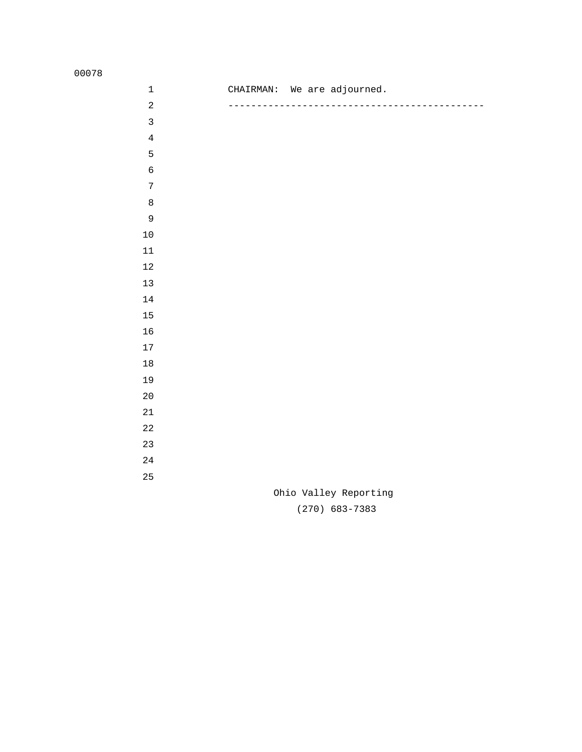| $\mathbf 1$    | CHAIRMAN: We are adjourned. |
|----------------|-----------------------------|
| $\overline{a}$ |                             |
| $\mathbf{3}$   |                             |
| $\bf 4$        |                             |
| 5              |                             |
| $\epsilon$     |                             |
| $\sqrt{ }$     |                             |
| $\,8\,$        |                             |
| $\mathsf 9$    |                             |
| $10$           |                             |
| $11\,$         |                             |
| $12\,$         |                             |
| $13$           |                             |
| 14             |                             |
| $15\,$         |                             |
| 16             |                             |
| $17\,$         |                             |
| $18\,$         |                             |
| 19             |                             |
| 20             |                             |
| 21             |                             |
| 22             |                             |
| 23             |                             |
| 24             |                             |
| 25             |                             |
|                | Ohio Valley Reporting       |